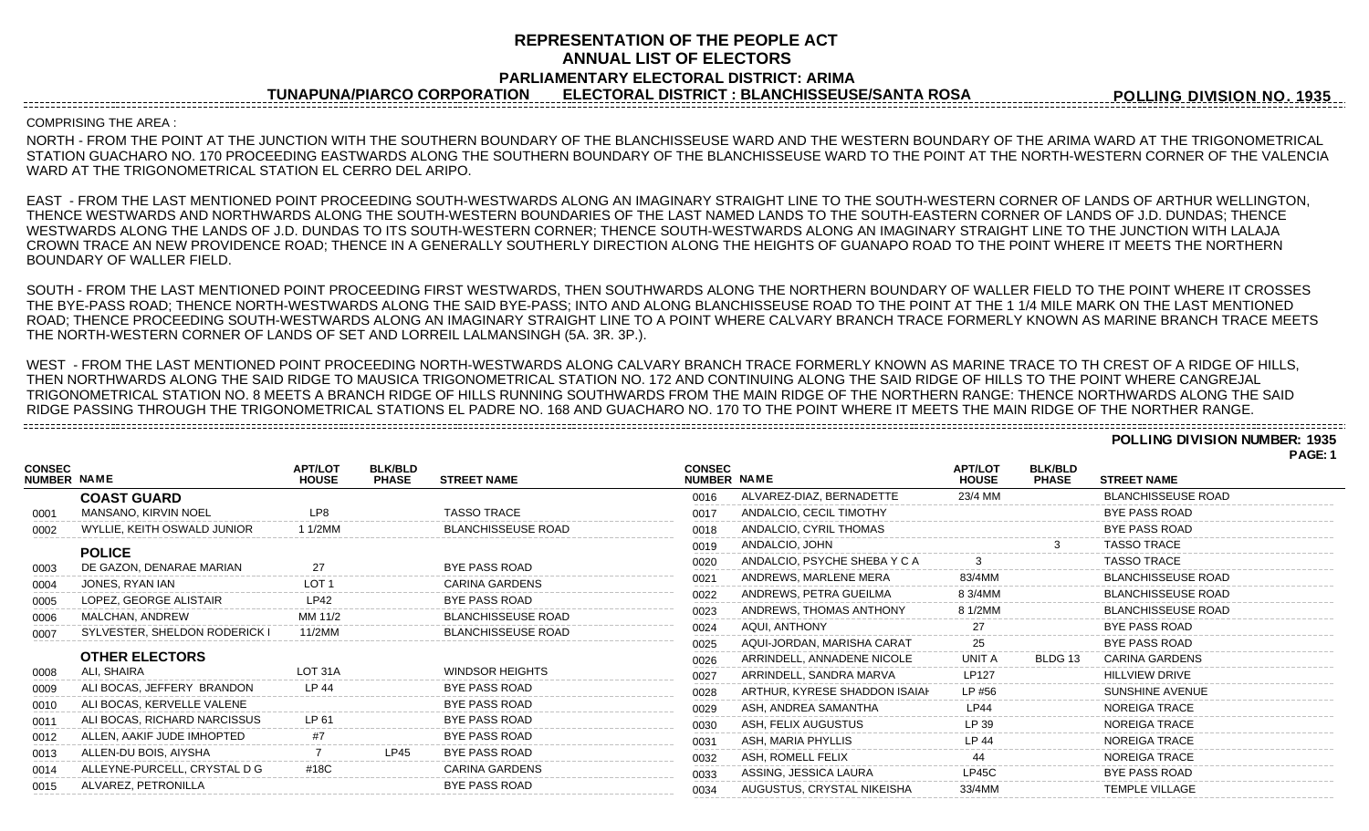# **REPRESENTATION OF THE PEOPLE ACT ANNUAL LIST OF ELECTORS PARLIAMENTARY ELECTORAL DISTRICT: ARIMA**

**TUNAPUNA/PIARCO CORPORATION ELECTORAL DISTRICT : BLANCHISSEUSE/SANTA ROSA**

**POLLING DIVISION NO. 1935**

### COMPRISING THE AREA :

NORTH - FROM THE POINT AT THE JUNCTION WITH THE SOUTHERN BOUNDARY OF THE BLANCHISSEUSE WARD AND THE WESTERN BOUNDARY OF THE ARIMA WARD AT THE TRIGONOMETRICAL STATION GUACHARO NO. 170 PROCEEDING EASTWARDS ALONG THE SOUTHERN BOUNDARY OF THE BLANCHISSEUSE WARD TO THE POINT AT THE NORTH-WESTERN CORNER OF THE VALENCIA WARD AT THE TRIGONOMETRICAL STATION EL CERRO DEL ARIPO.

EAST - FROM THE LAST MENTIONED POINT PROCEEDING SOUTH-WESTWARDS ALONG AN IMAGINARY STRAIGHT LINE TO THE SOUTH-WESTERN CORNER OF LANDS OF ARTHUR WELLINGTON, THENCE WESTWARDS AND NORTHWARDS ALONG THE SOUTH-WESTERN BOUNDARIES OF THE LAST NAMED LANDS TO THE SOUTH-EASTERN CORNER OF LANDS OF J.D. DUNDAS; THENCE WESTWARDS ALONG THE LANDS OF J.D. DUNDAS TO ITS SOUTH-WESTERN CORNER; THENCE SOUTH-WESTWARDS ALONG AN IMAGINARY STRAIGHT LINE TO THE JUNCTION WITH LALAJA CROWN TRACE AN NEW PROVIDENCE ROAD; THENCE IN A GENERALLY SOUTHERLY DIRECTION ALONG THE HEIGHTS OF GUANAPO ROAD TO THE POINT WHERE IT MEETS THE NORTHERN BOUNDARY OF WALLER FIELD.

SOUTH - FROM THE LAST MENTIONED POINT PROCEEDING FIRST WESTWARDS, THEN SOUTHWARDS ALONG THE NORTHERN BOUNDARY OF WALLER FIELD TO THE POINT WHERE IT CROSSES THE BYE-PASS ROAD; THENCE NORTH-WESTWARDS ALONG THE SAID BYE-PASS; INTO AND ALONG BLANCHISSEUSE ROAD TO THE POINT AT THE 1 1/4 MILE MARK ON THE LAST MENTIONED ROAD; THENCE PROCEEDING SOUTH-WESTWARDS ALONG AN IMAGINARY STRAIGHT LINE TO A POINT WHERE CALVARY BRANCH TRACE FORMERLY KNOWN AS MARINE BRANCH TRACE MEETS THE NORTH-WESTERN CORNER OF LANDS OF SET AND LORREIL LALMANSINGH (5A. 3R. 3P.).

WEST - FROM THE LAST MENTIONED POINT PROCEEDING NORTH-WESTWARDS ALONG CALVARY BRANCH TRACE FORMERLY KNOWN AS MARINE TRACE TO TH CREST OF A RIDGE OF HILLS, THEN NORTHWARDS ALONG THE SAID RIDGE TO MAUSICA TRIGONOMETRICAL STATION NO. 172 AND CONTINUING ALONG THE SAID RIDGE OF HILLS TO THE POINT WHERE CANGREJAL TRIGONOMETRICAL STATION NO. 8 MEETS A BRANCH RIDGE OF HILLS RUNNING SOUTHWARDS FROM THE MAIN RIDGE OF THE NORTHERN RANGE: THENCE NORTHWARDS ALONG THE SAID RIDGE PASSING THROUGH THE TRIGONOMETRICAL STATIONS EL PADRE NO. 168 AND GUACHARO NO. 170 TO THE POINT WHERE IT MEETS THE MAIN RIDGE OF THE NORTHER RANGE. 

# **POLLING DIVISION NUMBER: 1935**

**PAGE: 1**

|                                     |                               |                                |                                |                           |                              |                               |                                |                                |                           | . <b>AVL.</b> . |
|-------------------------------------|-------------------------------|--------------------------------|--------------------------------|---------------------------|------------------------------|-------------------------------|--------------------------------|--------------------------------|---------------------------|-----------------|
| <b>CONSEC</b><br><b>NUMBER NAME</b> |                               | <b>APT/LOT</b><br><b>HOUSE</b> | <b>BLK/BLD</b><br><b>PHASE</b> | <b>STREET NAME</b>        | <b>CONSEC</b><br>NUMBER NAME |                               | <b>APT/LOT</b><br><b>HOUSE</b> | <b>BLK/BLD</b><br><b>PHASE</b> | <b>STREET NAME</b>        |                 |
|                                     | <b>COAST GUARD</b>            |                                |                                |                           | 0016                         | ALVAREZ-DIAZ, BERNADETTE      | 23/4 MM                        |                                | <b>BLANCHISSEUSE ROAD</b> |                 |
| 0001                                | MANSANO, KIRVIN NOEL          | I P8                           |                                | <b>TASSO TRACE</b>        | 0017                         | ANDALCIO, CECIL TIMOTHY       |                                |                                | <b>BYE PASS ROAD</b>      |                 |
| 0002                                | WYLLIE. KEITH OSWALD JUNIOR   | 1 1/2MM                        |                                | <b>BLANCHISSEUSE ROAD</b> | 0018                         | ANDALCIO, CYRIL THOMAS        |                                |                                | <b>BYE PASS ROAD</b>      |                 |
|                                     | <b>POLICE</b>                 |                                |                                |                           | 0019                         | ANDALCIO, JOHN                |                                |                                | <b>TASSO TRACE</b>        |                 |
| 0003                                | DE GAZON, DENARAE MARIAN      | 27                             |                                | <b>BYE PASS ROAD</b>      | 0020                         | ANDALCIO, PSYCHE SHEBA Y C A  |                                |                                | <b>TASSO TRACE</b>        |                 |
| 0004                                | JONES, RYAN IAN               | LOT                            |                                | <b>CARINA GARDENS</b>     | 0021                         | ANDREWS, MARLENE MERA         | 83/4MM                         |                                | <b>BLANCHISSEUSE ROAD</b> |                 |
| 0005                                | LOPEZ, GEORGE ALISTAIR        | I P42                          |                                | <b>BYE PASS ROAD</b>      | 0022                         | ANDREWS, PETRA GUEILMA        | 8.3/4MM                        |                                | <b>BLANCHISSEUSE ROAD</b> |                 |
| 0006                                | MALCHAN, ANDREW               | MM 11/2                        |                                | <b>BLANCHISSEUSE ROAD</b> | 0023                         | ANDREWS, THOMAS ANTHONY       | 8 1/2MM                        |                                | <b>BLANCHISSEUSE ROAD</b> |                 |
| 0007                                | SYLVESTER, SHELDON RODERICK I | 11/2MM                         |                                | <b>BLANCHISSEUSE ROAD</b> | 0024                         | AQUI, ANTHONY                 |                                |                                | <b>BYE PASS ROAD</b>      |                 |
|                                     |                               |                                |                                |                           | 0025                         | AQUI-JORDAN, MARISHA CARAT    |                                |                                | <b>BYE PASS ROAD</b>      |                 |
|                                     | <b>OTHER ELECTORS</b>         |                                |                                |                           | 0026                         | ARRINDELL, ANNADENE NICOLE    | UNIT A                         | BLDG 13                        | <b>CARINA GARDENS</b>     |                 |
| 0008                                | ALI, SHAIRA                   | $I$ OT 31A                     |                                | <b>WINDSOR HEIGHTS</b>    | 0027                         | ARRINDELL, SANDRA MARVA       | <b>LP127</b>                   |                                | HILL VIEW DRIVE           |                 |
| 0009                                | ALI BOCAS, JEFFERY BRANDON    | IP44                           |                                | <b>BYE PASS ROAD</b>      | 0028                         | ARTHUR, KYRESE SHADDON ISAIAH | LP #56                         |                                | SUNSHINE AVENUE           |                 |
| 0010                                | ALI BOCAS, KERVELLE VALENE    |                                |                                | <b>BYE PASS ROAD</b>      | 0029                         | ASH, ANDREA SAMANTHA          | <b>LP44</b>                    |                                | <b>NOREIGA TRACE</b>      |                 |
| 0011                                | ALI BOCAS, RICHARD NARCISSUS  | <b>IP61</b>                    |                                | <b>BYE PASS ROAD</b>      | 0030                         | ASH, FELIX AUGUSTUS           | LP 39                          |                                | <b>NOREIGA TRACE</b>      |                 |
| 0012                                | ALLEN, AAKIF JUDE IMHOPTED    | #7                             |                                | <b>BYE PASS ROAD</b>      | 0031                         | ASH. MARIA PHYLLIS            | LP 44                          |                                | <b>NOREIGA TRACE</b>      |                 |
| 0013                                | ALLEN-DU BOIS, AIYSHA         |                                | LP45                           | <b>BYE PASS ROAD</b>      | 0032                         | ASH. ROMELL FELIX             | 44                             |                                | <b>NOREIGA TRACE</b>      |                 |
| 0014                                | ALLEYNE-PURCELL, CRYSTAL D G  | #18C                           |                                | <b>CARINA GARDENS</b>     | 0033                         | ASSING, JESSICA LAURA         | $L$ P45C                       |                                | <b>BYE PASS ROAD</b>      |                 |
| 0015                                | ALVAREZ, PETRONILLA           |                                |                                | <b>BYE PASS ROAD</b>      | 0034                         | AUGUSTUS, CRYSTAL NIKEISHA    | 33/4MM                         |                                | <b>TEMPLE VILLAGE</b>     |                 |
|                                     |                               |                                |                                |                           |                              |                               |                                |                                |                           |                 |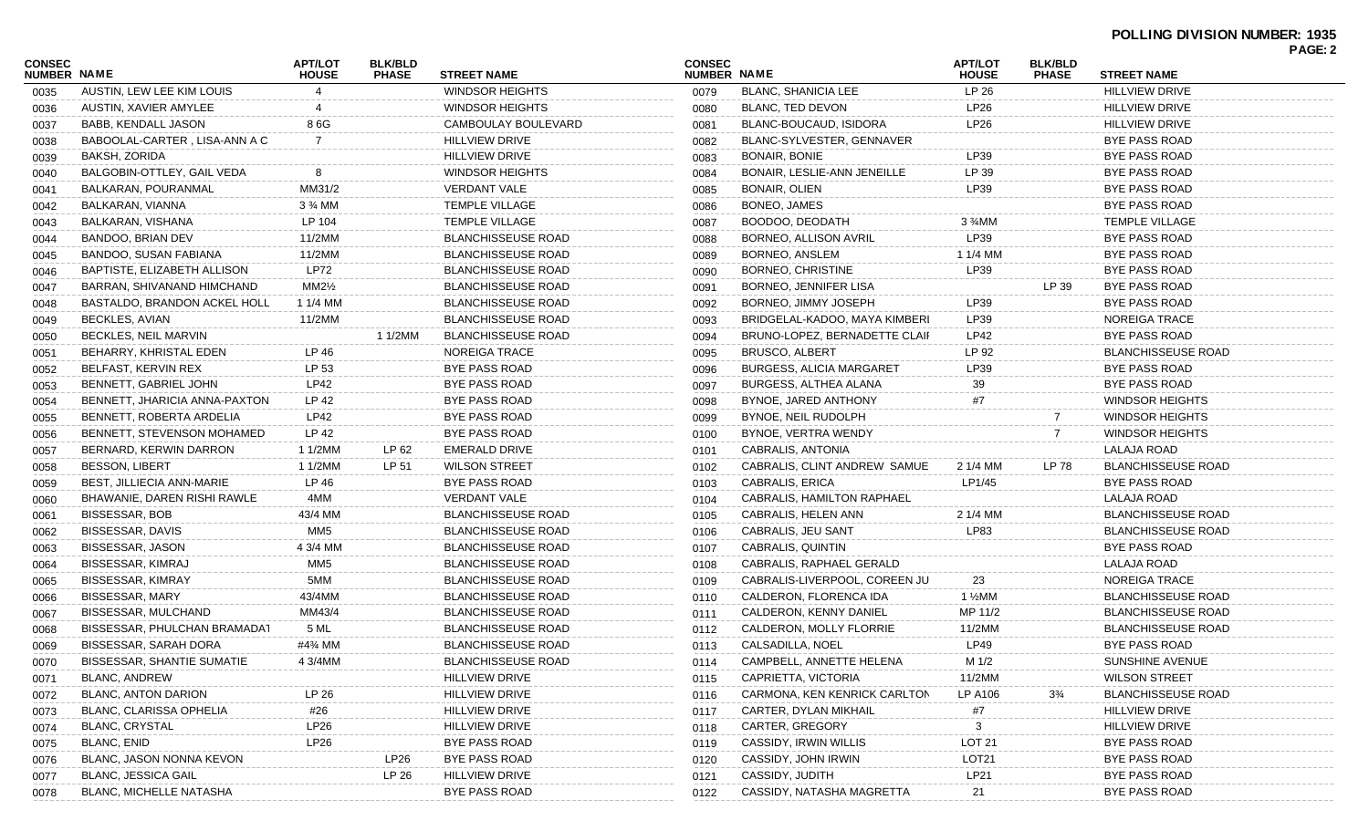|                              |                                   |                                |                                |                           |                              |                                 |                                |                                |                           | <b>PAGE: 2</b> |
|------------------------------|-----------------------------------|--------------------------------|--------------------------------|---------------------------|------------------------------|---------------------------------|--------------------------------|--------------------------------|---------------------------|----------------|
| <b>CONSEC</b><br>NUMBER NAME |                                   | <b>APT/LOT</b><br><b>HOUSE</b> | <b>BLK/BLD</b><br><b>PHASE</b> | <b>STREET NAME</b>        | <b>CONSEC</b><br>NUMBER NAME |                                 | <b>APT/LOT</b><br><b>HOUSE</b> | <b>BLK/BLD</b><br><b>PHASE</b> | <b>STREET NAME</b>        |                |
| 0035                         | AUSTIN, LEW LEE KIM LOUIS         |                                |                                | <b>WINDSOR HEIGHTS</b>    | 0079                         | <b>BLANC, SHANICIA LEE</b>      | LP 26                          |                                | <b>HILLVIEW DRIVE</b>     |                |
| 0036                         | AUSTIN, XAVIER AMYLEE             |                                |                                | <b>WINDSOR HEIGHTS</b>    | 0080                         | BLANC, TED DEVON                | LP26                           |                                | <b>HILLVIEW DRIVE</b>     |                |
| 0037                         | BABB, KENDALL JASON               | 8 6G                           |                                | CAMBOULAY BOULEVARD       | 0081                         | BLANC-BOUCAUD, ISIDORA          | LP26                           |                                | <b>HILLVIEW DRIVE</b>     |                |
| 0038                         | BABOOLAL-CARTER, LISA-ANN A C     | 7                              |                                | <b>HILLVIEW DRIVE</b>     | 0082                         | BLANC-SYLVESTER, GENNAVER       |                                |                                | <b>BYE PASS ROAD</b>      |                |
| 0039                         | BAKSH, ZORIDA                     |                                |                                | <b>HILLVIEW DRIVE</b>     | 0083                         | <b>BONAIR, BONIE</b>            | LP39                           |                                | <b>BYE PASS ROAD</b>      |                |
| 0040                         | BALGOBIN-OTTLEY, GAIL VEDA        | -8                             |                                | <b>WINDSOR HEIGHTS</b>    | 0084                         | BONAIR, LESLIE-ANN JENEILLE     | LP 39                          |                                | <b>BYE PASS ROAD</b>      |                |
| 0041                         | BALKARAN, POURANMAL               | MM31/2                         |                                | <b>VERDANT VALE</b>       | 0085                         | BONAIR, OLIEN                   | LP39                           |                                | <b>BYE PASS ROAD</b>      |                |
| 0042                         | BALKARAN, VIANNA                  | 3 % MM                         |                                | <b>TEMPLE VILLAGE</b>     | 0086                         | BONEO, JAMES                    |                                |                                | <b>BYE PASS ROAD</b>      |                |
| 0043                         | BALKARAN, VISHANA                 | LP 104                         |                                | <b>TEMPLE VILLAGE</b>     | 0087                         | BOODOO, DEODATH                 | $3\frac{3}{4}$ MM              |                                | <b>TEMPLE VILLAGE</b>     |                |
| 0044                         | BANDOO, BRIAN DEV                 | 11/2MM                         |                                | <b>BLANCHISSEUSE ROAD</b> | 0088                         | BORNEO, ALLISON AVRIL           | LP39                           |                                | <b>BYE PASS ROAD</b>      |                |
| 0045                         | BANDOO, SUSAN FABIANA             | 11/2MM                         |                                | <b>BLANCHISSEUSE ROAD</b> | 0089                         | BORNEO, ANSLEM                  | 1 1/4 MM                       |                                | <b>BYE PASS ROAD</b>      |                |
| 0046                         | BAPTISTE, ELIZABETH ALLISON       | <b>LP72</b>                    |                                | <b>BLANCHISSEUSE ROAD</b> | 0090                         | BORNEO, CHRISTINE               | LP39                           |                                | <b>BYE PASS ROAD</b>      |                |
| 0047                         | BARRAN, SHIVANAND HIMCHAND        | $MM2\frac{1}{2}$               |                                | <b>BLANCHISSEUSE ROAD</b> | 0091                         | BORNEO, JENNIFER LISA           |                                | LP 39                          | <b>BYE PASS ROAD</b>      |                |
| 0048                         | BASTALDO, BRANDON ACKEL HOLL      | 1 1/4 MM                       |                                | <b>BLANCHISSEUSE ROAD</b> | 0092                         | BORNEO, JIMMY JOSEPH            | LP39                           |                                | <b>BYE PASS ROAD</b>      |                |
| 0049                         | BECKLES, AVIAN                    | 11/2MM                         |                                | <b>BLANCHISSEUSE ROAD</b> | 0093                         | BRIDGELAL-KADOO, MAYA KIMBERI   | LP39                           |                                | NOREIGA TRACE             |                |
| 0050                         | BECKLES, NEIL MARVIN              |                                | 1 1/2MM                        | <b>BLANCHISSEUSE ROAD</b> | 0094                         | BRUNO-LOPEZ, BERNADETTE CLAIF   | LP42                           |                                | <b>BYE PASS ROAD</b>      |                |
| 0051                         | BEHARRY, KHRISTAL EDEN            | LP 46                          |                                | <b>NOREIGA TRACE</b>      | 0095                         | <b>BRUSCO, ALBERT</b>           | LP 92                          |                                | <b>BLANCHISSEUSE ROAD</b> |                |
| 0052                         | BELFAST, KERVIN REX               | LP 53                          |                                | <b>BYE PASS ROAD</b>      | 0096                         | <b>BURGESS, ALICIA MARGARET</b> | LP39                           |                                | <b>BYE PASS ROAD</b>      |                |
| 0053                         | BENNETT, GABRIEL JOHN             | LP42                           |                                | <b>BYE PASS ROAD</b>      | 0097                         | BURGESS, ALTHEA ALANA           | 39                             |                                | <b>BYE PASS ROAD</b>      |                |
| 0054                         | BENNETT, JHARICIA ANNA-PAXTON     | LP 42                          |                                | BYE PASS ROAD             | 0098                         | BYNOE, JARED ANTHONY            | #7                             |                                | <b>WINDSOR HEIGHTS</b>    |                |
| 0055                         | BENNETT, ROBERTA ARDELIA          | LP42                           |                                | <b>BYE PASS ROAD</b>      | 0099                         | BYNOE, NEIL RUDOLPH             |                                | 7                              | <b>WINDSOR HEIGHTS</b>    |                |
| 0056                         | BENNETT, STEVENSON MOHAMED        | LP 42                          |                                | BYE PASS ROAD             | 0100                         | BYNOE, VERTRA WENDY             |                                | 7                              | <b>WINDSOR HEIGHTS</b>    |                |
| 0057                         | BERNARD, KERWIN DARRON            | 1 1/2MM                        | LP 62                          | <b>EMERALD DRIVE</b>      | 0101                         | CABRALIS, ANTONIA               |                                |                                | LALAJA ROAD               |                |
| 0058                         | <b>BESSON, LIBERT</b>             | 1 1/2MM                        | LP 51                          | <b>WILSON STREET</b>      | 0102                         | CABRALIS, CLINT ANDREW SAMUE    | 2 1/4 MM                       | LP 78                          | <b>BLANCHISSEUSE ROAD</b> |                |
| 0059                         | BEST, JILLIECIA ANN-MARIE         | LP 46                          |                                | <b>BYE PASS ROAD</b>      | 0103                         | CABRALIS, ERICA                 | LP1/45                         |                                | <b>BYE PASS ROAD</b>      |                |
| 0060                         | BHAWANIE, DAREN RISHI RAWLE       | 4MM                            |                                | <b>VERDANT VALE</b>       | 0104                         | CABRALIS, HAMILTON RAPHAEL      |                                |                                | LALAJA ROAD               |                |
| 0061                         | BISSESSAR, BOB                    | 43/4 MM                        |                                | <b>BLANCHISSEUSE ROAD</b> | 0105                         | CABRALIS, HELEN ANN             | 2 1/4 MM                       |                                | <b>BLANCHISSEUSE ROAD</b> |                |
| 0062                         | BISSESSAR, DAVIS                  | MM <sub>5</sub>                |                                | <b>BLANCHISSEUSE ROAD</b> | 0106                         | CABRALIS, JEU SANT              | LP83                           |                                | <b>BLANCHISSEUSE ROAD</b> |                |
| 0063                         | BISSESSAR, JASON                  | 4 3/4 MM                       |                                | <b>BLANCHISSEUSE ROAD</b> | 0107                         | CABRALIS, QUINTIN               |                                |                                | <b>BYE PASS ROAD</b>      |                |
| 0064                         | BISSESSAR, KIMRAJ                 | MM <sub>5</sub>                |                                | <b>BLANCHISSEUSE ROAD</b> | 0108                         | CABRALIS, RAPHAEL GERALD        |                                |                                | LALAJA ROAD               |                |
| 0065                         | BISSESSAR, KIMRAY                 | 5MM                            |                                | <b>BLANCHISSEUSE ROAD</b> | 0109                         | CABRALIS-LIVERPOOL, COREEN JU   | 23                             |                                | <b>NOREIGA TRACE</b>      |                |
| 0066                         | BISSESSAR, MARY                   | 43/4MM                         |                                | <b>BLANCHISSEUSE ROAD</b> | 0110                         | CALDERON, FLORENCA IDA          | $1\frac{1}{2}$ MM              |                                | <b>BLANCHISSEUSE ROAD</b> |                |
| 0067                         | BISSESSAR, MULCHAND               | MM43/4                         |                                | <b>BLANCHISSEUSE ROAD</b> | 0111                         | CALDERON, KENNY DANIEL          | MP 11/2                        |                                | <b>BLANCHISSEUSE ROAD</b> |                |
| 0068                         | BISSESSAR, PHULCHAN BRAMADAT      | 5 ML                           |                                | <b>BLANCHISSEUSE ROAD</b> | 0112                         | CALDERON, MOLLY FLORRIE         | 11/2MM                         |                                | <b>BLANCHISSEUSE ROAD</b> |                |
| 0069                         | <b>BISSESSAR, SARAH DORA</b>      | #4¾ MM                         |                                | <b>BLANCHISSEUSE ROAD</b> | 0113                         | CALSADILLA, NOEL                | LP49                           |                                | <b>BYE PASS ROAD</b>      |                |
| 0070                         | <b>BISSESSAR, SHANTIE SUMATIE</b> | 4 3/4MM                        |                                | <b>BLANCHISSEUSE ROAD</b> | 0114                         | CAMPBELL, ANNETTE HELENA        | M 1/2                          |                                | SUNSHINE AVENUE           |                |
| 0071                         | <b>BLANC, ANDREW</b>              |                                |                                | <b>HILLVIEW DRIVE</b>     | 0115                         | CAPRIETTA, VICTORIA             | 11/2MM                         |                                | <b>WILSON STREET</b>      |                |
| 0072                         | <b>BLANC, ANTON DARION</b>        | LP 26                          |                                | <b>HILLVIEW DRIVE</b>     | 0116                         | CARMONA, KEN KENRICK CARLTON    | LP A106                        | $3\frac{3}{4}$                 | <b>BLANCHISSEUSE ROAD</b> |                |
| 0073                         | BLANC, CLARISSA OPHELIA           | #26                            |                                | <b>HILLVIEW DRIVE</b>     | 0117                         | CARTER, DYLAN MIKHAIL           | #7                             |                                | <b>HILLVIEW DRIVE</b>     |                |
| 0074                         | <b>BLANC, CRYSTAL</b>             | <b>LP26</b>                    |                                | <b>HILLVIEW DRIVE</b>     | 0118                         | CARTER, GREGORY                 | 3                              |                                | <b>HILLVIEW DRIVE</b>     |                |
| 0075                         | <b>BLANC, ENID</b>                | LP26                           |                                | <b>BYE PASS ROAD</b>      | 0119                         | <b>CASSIDY, IRWIN WILLIS</b>    | <b>LOT 21</b>                  |                                | <b>BYE PASS ROAD</b>      |                |
| 0076                         | BLANC, JASON NONNA KEVON          |                                | LP26                           | <b>BYE PASS ROAD</b>      | 0120                         | CASSIDY, JOHN IRWIN             | LOT <sub>21</sub>              |                                | BYE PASS ROAD             |                |
| 0077                         | <b>BLANC, JESSICA GAIL</b>        |                                | LP 26                          | <b>HILLVIEW DRIVE</b>     | 0121                         | CASSIDY, JUDITH                 | LP21                           |                                | <b>BYE PASS ROAD</b>      |                |
| 0078                         | <b>BLANC, MICHELLE NATASHA</b>    |                                |                                | <b>BYE PASS ROAD</b>      | 0122                         | CASSIDY, NATASHA MAGRETTA       | 21                             |                                | <b>BYE PASS ROAD</b>      |                |
|                              |                                   |                                |                                |                           |                              |                                 |                                |                                |                           |                |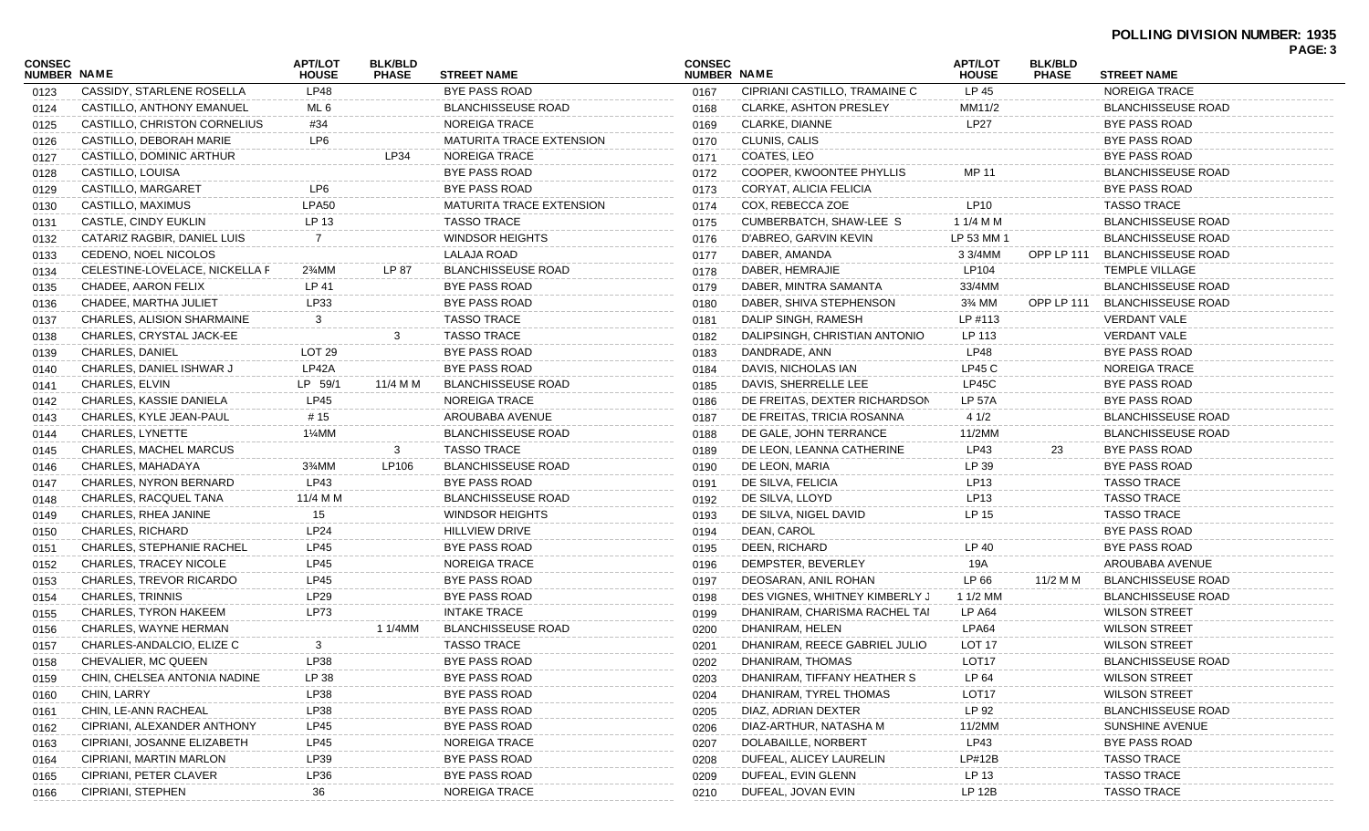| <b>CONSEC</b><br><b>NUMBER NAME</b> |                                  | <b>APT/LOT</b><br><b>HOUSE</b> | <b>BLK/BLD</b><br><b>PHASE</b> | <b>STREET NAME</b>              | <b>CONSEC</b><br>NUMBER NAME |                                | <b>APT/LOT</b><br><b>HOUSE</b> | <b>BLK/BLD</b><br><b>PHASE</b> | <b>STREET NAME</b>        |  |
|-------------------------------------|----------------------------------|--------------------------------|--------------------------------|---------------------------------|------------------------------|--------------------------------|--------------------------------|--------------------------------|---------------------------|--|
| 0123                                | CASSIDY, STARLENE ROSELLA        | <b>LP48</b>                    |                                | <b>BYE PASS ROAD</b>            | 0167                         | CIPRIANI CASTILLO, TRAMAINE C  | LP 45                          |                                | NOREIGA TRACE             |  |
| 0124                                | CASTILLO, ANTHONY EMANUEL        | ML 6                           |                                | <b>BLANCHISSEUSE ROAD</b>       | 0168                         | <b>CLARKE, ASHTON PRESLEY</b>  | MM11/2                         |                                | <b>BLANCHISSEUSE ROAD</b> |  |
| 0125                                | CASTILLO, CHRISTON CORNELIUS     | #34                            |                                | NOREIGA TRACE                   | 0169                         | CLARKE, DIANNE                 | <b>LP27</b>                    |                                | <b>BYE PASS ROAD</b>      |  |
| 0126                                | CASTILLO, DEBORAH MARIE          | LP6                            |                                | <b>MATURITA TRACE EXTENSION</b> | 0170                         | CLUNIS, CALIS                  |                                |                                | <b>BYE PASS ROAD</b>      |  |
| 0127                                | CASTILLO, DOMINIC ARTHUR         |                                | LP34                           | NOREIGA TRACE                   | 0171                         | COATES, LEO                    |                                |                                | BYE PASS ROAD             |  |
| 0128                                | CASTILLO, LOUISA                 |                                |                                | <b>BYE PASS ROAD</b>            | 0172                         | COOPER, KWOONTEE PHYLLIS       | <b>MP 11</b>                   |                                | <b>BLANCHISSEUSE ROAD</b> |  |
| 0129                                | CASTILLO, MARGARET               | LP6                            |                                | BYE PASS ROAD                   | 0173                         | CORYAT, ALICIA FELICIA         |                                |                                | BYE PASS ROAD             |  |
| 0130                                | CASTILLO, MAXIMUS                | LPA50                          |                                | <b>MATURITA TRACE EXTENSION</b> | 0174                         | COX, REBECCA ZOE               | LP10                           |                                | <b>TASSO TRACE</b>        |  |
| 0131                                | CASTLE, CINDY EUKLIN             | LP 13                          |                                | <b>TASSO TRACE</b>              | 0175                         | CUMBERBATCH, SHAW-LEE S        | 1 1/4 M M                      |                                | <b>BLANCHISSEUSE ROAD</b> |  |
| 0132                                | CATARIZ RAGBIR, DANIEL LUIS      |                                |                                | <b>WINDSOR HEIGHTS</b>          | 0176                         | D'ABREO, GARVIN KEVIN          | LP 53 MM 1                     |                                | <b>BLANCHISSEUSE ROAD</b> |  |
| 0133                                | CEDENO, NOEL NICOLOS             |                                |                                | <b>LALAJA ROAD</b>              | 0177                         | DABER, AMANDA                  | 3 3/4MM                        | OPP LP 111                     | <b>BLANCHISSEUSE ROAD</b> |  |
| 0134                                | CELESTINE-LOVELACE, NICKELLA F   | 2%MM                           | LP 87                          | <b>BLANCHISSEUSE ROAD</b>       | 0178                         | DABER, HEMRAJIE                | LP104                          |                                | <b>TEMPLE VILLAGE</b>     |  |
| 0135                                | CHADEE, AARON FELIX              | LP 41                          |                                | <b>BYE PASS ROAD</b>            | 0179                         | DABER, MINTRA SAMANTA          | 33/4MM                         |                                | <b>BLANCHISSEUSE ROAD</b> |  |
| 0136                                | CHADEE, MARTHA JULIET            | LP33                           |                                | BYE PASS ROAD                   | 0180                         | DABER, SHIVA STEPHENSON        | 3% MM                          | OPP LP 111                     | <b>BLANCHISSEUSE ROAD</b> |  |
| 0137                                | CHARLES, ALISION SHARMAINE       | 3                              |                                | <b>TASSO TRACE</b>              | 0181                         | DALIP SINGH, RAMESH            | LP #113                        |                                | <b>VERDANT VALE</b>       |  |
| 0138                                | CHARLES, CRYSTAL JACK-EE         |                                | 3                              | <b>TASSO TRACE</b>              | 0182                         | DALIPSINGH, CHRISTIAN ANTONIO  | LP 113                         |                                | <b>VERDANT VALE</b>       |  |
| 0139                                | CHARLES, DANIEL                  | LOT <sub>29</sub>              |                                | BYE PASS ROAD                   | 0183                         | DANDRADE, ANN                  | LP48                           |                                | <b>BYE PASS ROAD</b>      |  |
| 0140                                | CHARLES, DANIEL ISHWAR J         | LP42A                          |                                | <b>BYE PASS ROAD</b>            | 0184                         | DAVIS, NICHOLAS IAN            | LP45C                          |                                | <b>NOREIGA TRACE</b>      |  |
| 0141                                | CHARLES, ELVIN                   | LP 59/1                        | 11/4 M M                       | <b>BLANCHISSEUSE ROAD</b>       | 0185                         | DAVIS, SHERRELLE LEE           | LP45C                          |                                | <b>BYE PASS ROAD</b>      |  |
| 0142                                | CHARLES, KASSIE DANIELA          | LP45                           |                                | NOREIGA TRACE                   | 0186                         | DE FREITAS, DEXTER RICHARDSON  | <b>LP 57A</b>                  |                                | BYE PASS ROAD             |  |
| 0143                                | CHARLES, KYLE JEAN-PAUL          | # 15                           |                                | AROUBABA AVENUE                 | 0187                         | DE FREITAS, TRICIA ROSANNA     | 4 1/2                          |                                | <b>BLANCHISSEUSE ROAD</b> |  |
| 0144                                | CHARLES, LYNETTE                 | 1¼MM                           |                                | <b>BLANCHISSEUSE ROAD</b>       | 0188                         | DE GALE, JOHN TERRANCE         | 11/2MM                         |                                | <b>BLANCHISSEUSE ROAD</b> |  |
| 0145                                | CHARLES, MACHEL MARCUS           |                                | 3                              | <b>TASSO TRACE</b>              | 0189                         | DE LEON, LEANNA CATHERINE      | LP43                           | 23                             | <b>BYE PASS ROAD</b>      |  |
| 0146                                | CHARLES, MAHADAYA                | 3¼MM                           | LP106                          | <b>BLANCHISSEUSE ROAD</b>       | 0190                         | DE LEON, MARIA                 | LP 39                          |                                | <b>BYE PASS ROAD</b>      |  |
| 0147                                | CHARLES, NYRON BERNARD           | LP43                           |                                | BYE PASS ROAD                   | 0191                         | DE SILVA, FELICIA              | LP13                           |                                | <b>TASSO TRACE</b>        |  |
| 0148                                | CHARLES, RACQUEL TANA            | 11/4 M M                       |                                | <b>BLANCHISSEUSE ROAD</b>       | 0192                         | DE SILVA, LLOYD                | LP13                           |                                | <b>TASSO TRACE</b>        |  |
| 0149                                | CHARLES, RHEA JANINE             | 15                             |                                | <b>WINDSOR HEIGHTS</b>          | 0193                         | DE SILVA, NIGEL DAVID          | LP 15                          |                                | <b>TASSO TRACE</b>        |  |
| 0150                                | <b>CHARLES, RICHARD</b>          | LP24                           |                                | <b>HILLVIEW DRIVE</b>           | 0194                         | DEAN, CAROL                    |                                |                                | <b>BYE PASS ROAD</b>      |  |
| 0151                                | <b>CHARLES, STEPHANIE RACHEL</b> | LP45                           |                                | BYE PASS ROAD                   | 0195                         | DEEN, RICHARD                  | LP 40                          |                                | BYE PASS ROAD             |  |
| 0152                                | CHARLES, TRACEY NICOLE           | LP45                           |                                | NOREIGA TRACE                   | 0196                         | DEMPSTER, BEVERLEY             | 19A                            |                                | AROUBABA AVENUE           |  |
| 0153                                | <b>CHARLES, TREVOR RICARDO</b>   | LP45                           |                                | <b>BYE PASS ROAD</b>            | 0197                         | DEOSARAN, ANIL ROHAN           | LP 66                          | 11/2 M M                       | <b>BLANCHISSEUSE ROAD</b> |  |
| 0154                                | <b>CHARLES, TRINNIS</b>          | LP29                           |                                | <b>BYE PASS ROAD</b>            | 0198                         | DES VIGNES, WHITNEY KIMBERLY J | 1 1/2 MM                       |                                | <b>BLANCHISSEUSE ROAD</b> |  |
| 0155                                | <b>CHARLES, TYRON HAKEEM</b>     | <b>LP73</b>                    |                                | <b>INTAKE TRACE</b>             | 0199                         | DHANIRAM, CHARISMA RACHEL TAI  | <b>LP A64</b>                  |                                | <b>WILSON STREET</b>      |  |
| 0156                                | CHARLES, WAYNE HERMAN            |                                | 1 1/4MM                        | <b>BLANCHISSEUSE ROAD</b>       | 0200                         | DHANIRAM, HELEN                | LPA64                          |                                | <b>WILSON STREET</b>      |  |
| 0157                                | CHARLES-ANDALCIO, ELIZE C        | 3                              |                                | <b>TASSO TRACE</b>              | 0201                         | DHANIRAM, REECE GABRIEL JULIO  | LOT <sub>17</sub>              |                                | <b>WILSON STREET</b>      |  |
| 0158                                | CHEVALIER, MC QUEEN              | LP38                           |                                | BYE PASS ROAD                   | 0202                         | DHANIRAM, THOMAS               | LOT17                          |                                | BLANCHISSEUSE ROAD        |  |
| 0159                                | CHIN, CHELSEA ANTONIA NADINE     | LP 38                          |                                | <b>BYE PASS ROAD</b>            | 0203                         | DHANIRAM, TIFFANY HEATHER S    | LP 64                          |                                | <b>WILSON STREET</b>      |  |
| 0160                                | CHIN, LARRY                      | LP38                           |                                | <b>BYE PASS ROAD</b>            | 0204                         | DHANIRAM, TYREL THOMAS         | LOT <sub>17</sub>              |                                | <b>WILSON STREET</b>      |  |
| 0161                                | CHIN, LE-ANN RACHEAL             | LP38                           |                                | BYE PASS ROAD                   | 0205                         | DIAZ, ADRIAN DEXTER            | LP 92                          |                                | <b>BLANCHISSEUSE ROAD</b> |  |
| 0162                                | CIPRIANI, ALEXANDER ANTHONY      | LP45                           |                                | <b>BYE PASS ROAD</b>            | 0206                         | DIAZ-ARTHUR, NATASHA M         | 11/2MM                         |                                | SUNSHINE AVENUE           |  |
|                                     | CIPRIANI, JOSANNE ELIZABETH      | LP45                           |                                | <b>NOREIGA TRACE</b>            | 0207                         | DOLABAILLE, NORBERT            | LP43                           |                                | <b>BYE PASS ROAD</b>      |  |
| 0163                                | CIPRIANI, MARTIN MARLON          | LP39                           |                                | <b>BYE PASS ROAD</b>            | 0208                         | DUFEAL, ALICEY LAURELIN        | LP#12B                         |                                | <b>TASSO TRACE</b>        |  |
| 0164                                | CIPRIANI, PETER CLAVER           | LP36                           |                                | <b>BYE PASS ROAD</b>            | 0209                         | DUFEAL, EVIN GLENN             | LP 13                          |                                | <b>TASSO TRACE</b>        |  |
| 0165                                | CIPRIANI, STEPHEN                |                                |                                | <b>NOREIGA TRACE</b>            |                              | DUFEAL, JOVAN EVIN             | <b>LP 12B</b>                  |                                | <b>TASSO TRACE</b>        |  |
| 0166                                |                                  | 36                             |                                |                                 | 0210                         |                                |                                |                                |                           |  |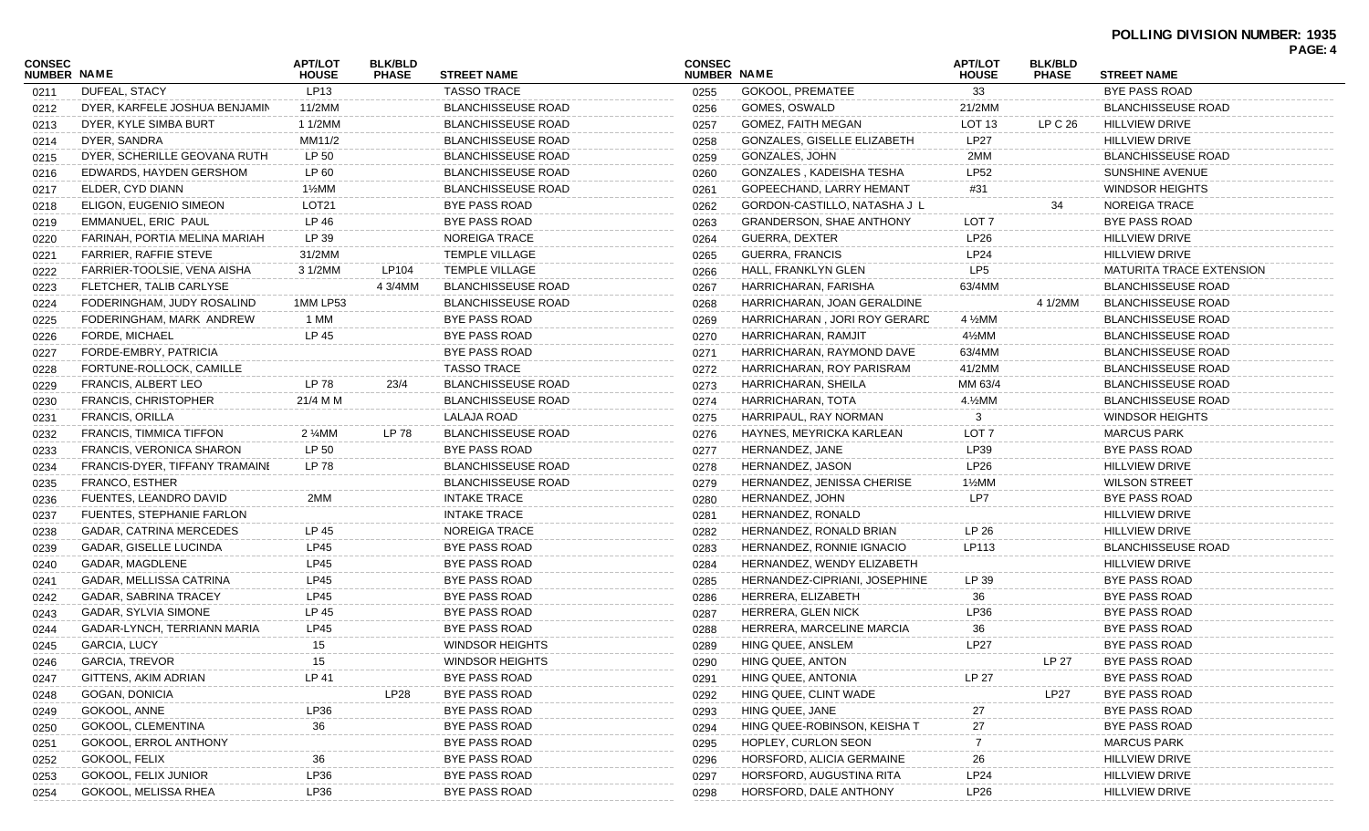|                              |                                |                                |                                |                           |                              |                                 |                                |                                |                                 | PAGE: 4 |
|------------------------------|--------------------------------|--------------------------------|--------------------------------|---------------------------|------------------------------|---------------------------------|--------------------------------|--------------------------------|---------------------------------|---------|
| <b>CONSEC</b><br>NUMBER NAME |                                | <b>APT/LOT</b><br><b>HOUSE</b> | <b>BLK/BLD</b><br><b>PHASE</b> | <b>STREET NAME</b>        | <b>CONSEC</b><br>NUMBER NAME |                                 | <b>APT/LOT</b><br><b>HOUSE</b> | <b>BLK/BLD</b><br><b>PHASE</b> | <b>STREET NAME</b>              |         |
| 0211                         | DUFEAL, STACY                  | LP13                           |                                | <b>TASSO TRACE</b>        | 0255                         | <b>GOKOOL, PREMATEE</b>         | 33                             |                                | BYE PASS ROAD                   |         |
| 0212                         | DYER, KARFELE JOSHUA BENJAMIN  | 11/2MM                         |                                | <b>BLANCHISSEUSE ROAD</b> | 0256                         | GOMES, OSWALD                   | 21/2MM                         |                                | <b>BLANCHISSEUSE ROAD</b>       |         |
| 0213                         | DYER, KYLE SIMBA BURT          | 1 1/2MM                        |                                | <b>BLANCHISSEUSE ROAD</b> | 0257                         | GOMEZ, FAITH MEGAN              | LOT <sub>13</sub>              | LP C 26                        | <b>HILLVIEW DRIVE</b>           |         |
| 0214                         | DYER, SANDRA                   | MM11/2                         |                                | <b>BLANCHISSEUSE ROAD</b> | 0258                         | GONZALES, GISELLE ELIZABETH     | LP <sub>27</sub>               |                                | <b>HILLVIEW DRIVE</b>           |         |
| 0215                         | DYER, SCHERILLE GEOVANA RUTH   | LP 50                          |                                | <b>BLANCHISSEUSE ROAD</b> | 0259                         | GONZALES, JOHN                  | 2MM                            |                                | <b>BLANCHISSEUSE ROAD</b>       |         |
| 0216                         | EDWARDS, HAYDEN GERSHOM        | LP 60                          |                                | <b>BLANCHISSEUSE ROAD</b> | 0260                         | GONZALES, KADEISHA TESHA        | LP52                           |                                | SUNSHINE AVENUE                 |         |
| 0217                         | ELDER, CYD DIANN               | 1½MM                           |                                | <b>BLANCHISSEUSE ROAD</b> | 0261                         | GOPEECHAND, LARRY HEMANT        | #31                            |                                | <b>WINDSOR HEIGHTS</b>          |         |
| 0218                         | ELIGON, EUGENIO SIMEON         | LOT <sub>21</sub>              |                                | BYE PASS ROAD             | 0262                         | GORDON-CASTILLO, NATASHA J L    |                                | 34                             | NOREIGA TRACE                   |         |
| 0219                         | EMMANUEL, ERIC PAUL            | LP 46                          |                                | BYE PASS ROAD             | 0263                         | <b>GRANDERSON, SHAE ANTHONY</b> | LOT 7                          |                                | BYE PASS ROAD                   |         |
| 0220                         | FARINAH, PORTIA MELINA MARIAH  | LP 39                          |                                | NOREIGA TRACE             | 0264                         | GUERRA, DEXTER                  | LP <sub>26</sub>               |                                | <b>HILLVIEW DRIVE</b>           |         |
| 0221                         | FARRIER, RAFFIE STEVE          | 31/2MM                         |                                | <b>TEMPLE VILLAGE</b>     | 0265                         | GUERRA, FRANCIS                 | LP <sub>24</sub>               |                                | <b>HILLVIEW DRIVE</b>           |         |
| 0222                         | FARRIER-TOOLSIE, VENA AISHA    | 3 1/2MM                        | LP104                          | <b>TEMPLE VILLAGE</b>     | 0266                         | HALL, FRANKLYN GLEN             | LP5                            |                                | <b>MATURITA TRACE EXTENSION</b> |         |
| 0223                         | FLETCHER, TALIB CARLYSE        |                                | 4 3/4MM                        | <b>BLANCHISSEUSE ROAD</b> | 0267                         | HARRICHARAN, FARISHA            | 63/4MM                         |                                | <b>BLANCHISSEUSE ROAD</b>       |         |
| 0224                         | FODERINGHAM, JUDY ROSALIND     | 1MM LP53                       |                                | <b>BLANCHISSEUSE ROAD</b> | 0268                         | HARRICHARAN, JOAN GERALDINE     |                                | 4 1/2MM                        | <b>BLANCHISSEUSE ROAD</b>       |         |
| 0225                         | FODERINGHAM, MARK ANDREW       | 1 MM                           |                                | BYE PASS ROAD             | 0269                         | HARRICHARAN, JORI ROY GERARD    | 4 %MM                          |                                | <b>BLANCHISSEUSE ROAD</b>       |         |
| 0226                         | <b>FORDE, MICHAEL</b>          | LP 45                          |                                | <b>BYE PASS ROAD</b>      | 0270                         | HARRICHARAN, RAMJIT             | 4½MM                           |                                | <b>BLANCHISSEUSE ROAD</b>       |         |
| 0227                         | FORDE-EMBRY, PATRICIA          |                                |                                | <b>BYE PASS ROAD</b>      | 0271                         | HARRICHARAN, RAYMOND DAVE       | 63/4MM                         |                                | <b>BLANCHISSEUSE ROAD</b>       |         |
| 0228                         | FORTUNE-ROLLOCK, CAMILLE       |                                |                                | <b>TASSO TRACE</b>        | 0272                         | HARRICHARAN, ROY PARISRAM       | 41/2MM                         |                                | <b>BLANCHISSEUSE ROAD</b>       |         |
| 0229                         | <b>FRANCIS, ALBERT LEO</b>     | LP 78                          | 23/4                           | <b>BLANCHISSEUSE ROAD</b> | 0273                         | HARRICHARAN, SHEILA             | MM 63/4                        |                                | <b>BLANCHISSEUSE ROAD</b>       |         |
| 0230                         | <b>FRANCIS, CHRISTOPHER</b>    | 21/4 M M                       |                                | <b>BLANCHISSEUSE ROAD</b> | 0274                         | HARRICHARAN, TOTA               | 4.½MM                          |                                | <b>BLANCHISSEUSE ROAD</b>       |         |
| 0231                         | <b>FRANCIS, ORILLA</b>         |                                |                                | LALAJA ROAD               | 0275                         | HARRIPAUL, RAY NORMAN           | 3                              |                                | <b>WINDSOR HEIGHTS</b>          |         |
| 0232                         | <b>FRANCIS, TIMMICA TIFFON</b> | 2 %MM                          | LP 78                          | <b>BLANCHISSEUSE ROAD</b> | 0276                         | HAYNES, MEYRICKA KARLEAN        | LOT 7                          |                                | <b>MARCUS PARK</b>              |         |
| 0233                         | FRANCIS, VERONICA SHARON       | LP 50                          |                                | <b>BYE PASS ROAD</b>      | 0277                         | HERNANDEZ, JANE                 | LP39                           |                                | BYE PASS ROAD                   |         |
| 0234                         | FRANCIS-DYER, TIFFANY TRAMAINI | LP 78                          |                                | <b>BLANCHISSEUSE ROAD</b> | 0278                         | HERNANDEZ, JASON                | LP <sub>26</sub>               |                                | <b>HILLVIEW DRIVE</b>           |         |
| 0235                         | FRANCO, ESTHER                 |                                |                                | <b>BLANCHISSEUSE ROAD</b> | 0279                         | HERNANDEZ, JENISSA CHERISE      | $1\frac{1}{2}$ MM              |                                | <b>WILSON STREET</b>            |         |
| 0236                         | FUENTES, LEANDRO DAVID         | 2MM                            |                                | <b>INTAKE TRACE</b>       | 0280                         | HERNANDEZ, JOHN                 | LP7                            |                                | BYE PASS ROAD                   |         |
| 0237                         | FUENTES, STEPHANIE FARLON      |                                |                                | <b>INTAKE TRACE</b>       | 0281                         | HERNANDEZ, RONALD               |                                |                                | <b>HILLVIEW DRIVE</b>           |         |
| 0238                         | GADAR, CATRINA MERCEDES        | LP 45                          |                                | NOREIGA TRACE             | 0282                         | HERNANDEZ, RONALD BRIAN         | LP 26                          |                                | <b>HILLVIEW DRIVE</b>           |         |
| 0239                         | GADAR, GISELLE LUCINDA         | LP45                           |                                | <b>BYE PASS ROAD</b>      | 0283                         | HERNANDEZ, RONNIE IGNACIO       | LP113                          |                                | <b>BLANCHISSEUSE ROAD</b>       |         |
| 0240                         | GADAR, MAGDLENE                | LP45                           |                                | BYE PASS ROAD             | 0284                         | HERNANDEZ, WENDY ELIZABETH      |                                |                                | <b>HILLVIEW DRIVE</b>           |         |
| 0241                         | GADAR, MELLISSA CATRINA        | LP45                           |                                | BYE PASS ROAD             | 0285                         | HERNANDEZ-CIPRIANI, JOSEPHINE   | LP 39                          |                                | BYE PASS ROAD                   |         |
| 0242                         | GADAR, SABRINA TRACEY          | LP45                           |                                | <b>BYE PASS ROAD</b>      | 0286                         | HERRERA, ELIZABETH              | 36                             |                                | BYE PASS ROAD                   |         |
| 0243                         | GADAR, SYLVIA SIMONE           | LP 45                          |                                | <b>BYE PASS ROAD</b>      | 0287                         | <b>HERRERA, GLEN NICK</b>       | <b>LP36</b>                    |                                | BYE PASS ROAD                   |         |
| 0244                         | GADAR-LYNCH, TERRIANN MARIA    | LP45                           |                                | BYE PASS ROAD             | 0288                         | HERRERA, MARCELINE MARCIA       | 36                             |                                | BYE PASS ROAD                   |         |
| 0245                         | <b>GARCIA, LUCY</b>            | 15                             |                                | <b>WINDSOR HEIGHTS</b>    | 0289                         | HING QUEE, ANSLEM               | <b>LP27</b>                    |                                | <b>BYE PASS ROAD</b>            |         |
| 0246                         | <b>GARCIA, TREVOR</b>          | 15                             |                                | WINDSOR HEIGHTS           | 0290                         | HING QUEE, ANTON                |                                | LP 27                          | BYE PASS ROAD                   |         |
|                              | GITTENS, AKIM ADRIAN           | LP 41                          |                                | <b>BYE PASS ROAD</b>      |                              | HING QUEE, ANTONIA              | LP 27                          |                                | <b>BYE PASS ROAD</b>            |         |
| 0247<br>0248                 | GOGAN, DONICIA                 |                                | LP28                           | <b>BYE PASS ROAD</b>      | 0291                         | HING QUEE, CLINT WADE           |                                | <b>LP27</b>                    | <b>BYE PASS ROAD</b>            |         |
|                              | GOKOOL, ANNE                   | LP36                           |                                | <b>BYE PASS ROAD</b>      | 0292                         | HING QUEE, JANE                 |                                |                                | <b>BYE PASS ROAD</b>            |         |
| 0249                         | GOKOOL, CLEMENTINA             | 36                             |                                | <b>BYE PASS ROAD</b>      | 0293                         | HING QUEE-ROBINSON, KEISHA T    | 27<br>$27\,$                   |                                | <b>BYE PASS ROAD</b>            |         |
| 0250                         | GOKOOL, ERROL ANTHONY          |                                |                                | <b>BYE PASS ROAD</b>      | 0294                         | HOPLEY, CURLON SEON             | 7                              |                                | <b>MARCUS PARK</b>              |         |
| 0251                         | GOKOOL, FELIX                  |                                |                                | <b>BYE PASS ROAD</b>      | 0295                         | HORSFORD, ALICIA GERMAINE       |                                |                                | <b>HILLVIEW DRIVE</b>           |         |
| 0252                         |                                | 36<br>LP36                     |                                |                           | 0296                         | HORSFORD, AUGUSTINA RITA        | 26                             |                                |                                 |         |
| 0253                         | GOKOOL, FELIX JUNIOR           |                                |                                | <b>BYE PASS ROAD</b>      | 0297                         |                                 | LP <sub>24</sub>               |                                | <b>HILLVIEW DRIVE</b>           |         |
| 0254                         | GOKOOL, MELISSA RHEA           | LP36                           |                                | <b>BYE PASS ROAD</b>      | 0298                         | HORSFORD, DALE ANTHONY          | LP26                           |                                | HILLVIEW DRIVE                  |         |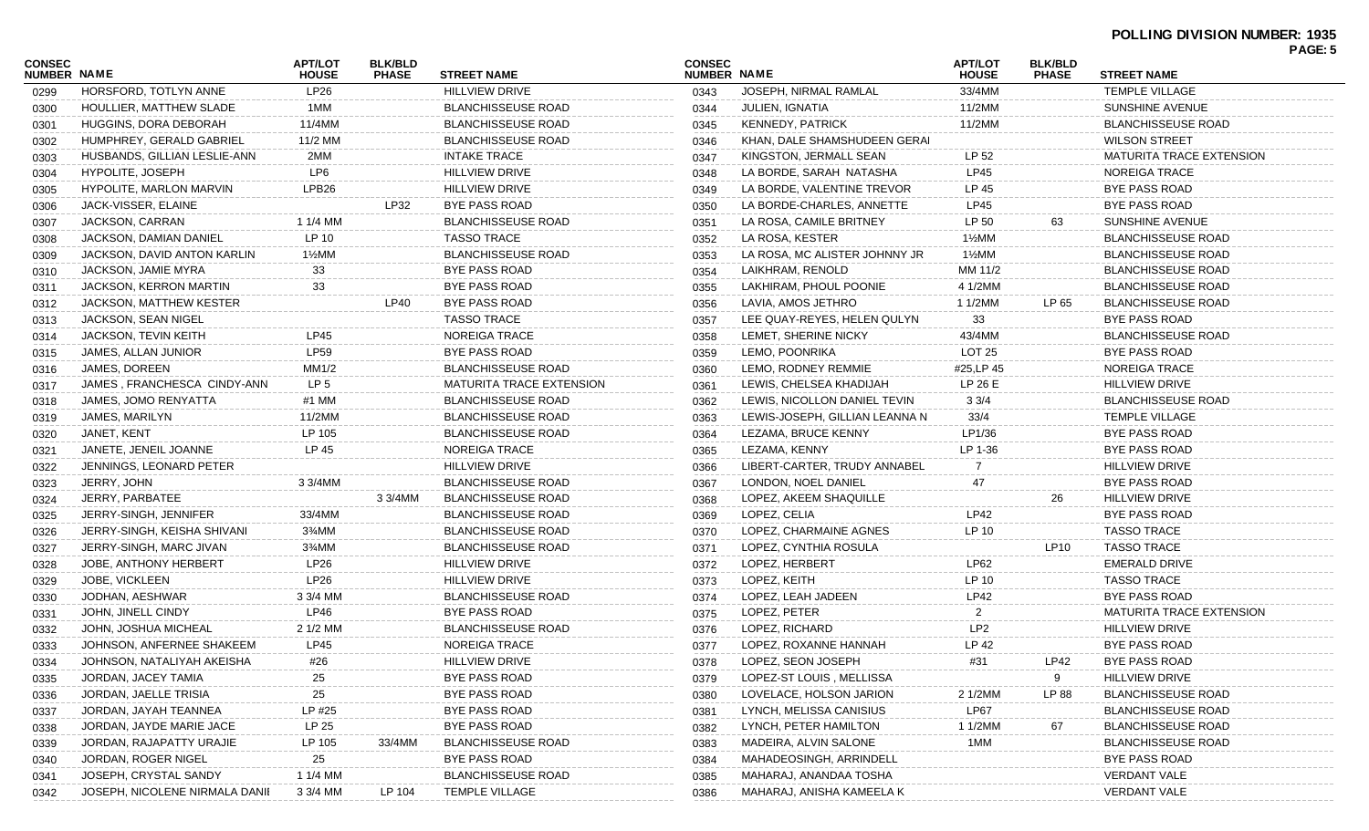|                              |                                |                                |                                |                                 |                              |                                |                                |                                |                                 | . השכו |
|------------------------------|--------------------------------|--------------------------------|--------------------------------|---------------------------------|------------------------------|--------------------------------|--------------------------------|--------------------------------|---------------------------------|--------|
| CONSEC<br><b>NUMBER NAME</b> |                                | <b>APT/LOT</b><br><b>HOUSE</b> | <b>BLK/BLD</b><br><b>PHASE</b> | <b>STREET NAME</b>              | <b>CONSEC</b><br>NUMBER NAME |                                | <b>APT/LOT</b><br><b>HOUSE</b> | <b>BLK/BLD</b><br><b>PHASE</b> | <b>STREET NAME</b>              |        |
| 0299                         | HORSFORD, TOTLYN ANNE          | LP26                           |                                | <b>HILLVIEW DRIVE</b>           | 0343                         | JOSEPH, NIRMAL RAMLAL          | 33/4MM                         |                                | <b>TEMPLE VILLAGE</b>           |        |
| 0300                         | HOULLIER, MATTHEW SLADE        | 1MM                            |                                | <b>BLANCHISSEUSE ROAD</b>       | 0344                         | JULIEN, IGNATIA                | 11/2MM                         |                                | SUNSHINE AVENUE                 |        |
| 0301                         | HUGGINS, DORA DEBORAH          | 11/4MM                         |                                | <b>BLANCHISSEUSE ROAD</b>       | 0345                         | <b>KENNEDY, PATRICK</b>        | 11/2MM                         |                                | <b>BLANCHISSEUSE ROAD</b>       |        |
| 0302                         | HUMPHREY, GERALD GABRIEL       | 11/2 MM                        |                                | <b>BLANCHISSEUSE ROAD</b>       | 0346                         | KHAN, DALE SHAMSHUDEEN GERAI   |                                |                                | <b>WILSON STREET</b>            |        |
| 0303                         | HUSBANDS, GILLIAN LESLIE-ANN   | 2MM                            |                                | <b>INTAKE TRACE</b>             | 0347                         | KINGSTON, JERMALL SEAN         | LP 52                          |                                | <b>MATURITA TRACE EXTENSION</b> |        |
| 0304                         | HYPOLITE, JOSEPH               | LP6                            |                                | <b>HILLVIEW DRIVE</b>           | 0348                         | LA BORDE, SARAH NATASHA        | LP45                           |                                | <b>NOREIGA TRACE</b>            |        |
| 0305                         | <b>HYPOLITE, MARLON MARVIN</b> | LPB <sub>26</sub>              |                                | <b>HILLVIEW DRIVE</b>           | 0349                         | LA BORDE, VALENTINE TREVOR     | LP 45                          |                                | BYE PASS ROAD                   |        |
| 0306                         | JACK-VISSER, ELAINE            |                                | LP32                           | <b>BYE PASS ROAD</b>            | 0350                         | LA BORDE-CHARLES, ANNETTE      | LP45                           |                                | BYE PASS ROAD                   |        |
| 0307                         | JACKSON, CARRAN                | 1 1/4 MM                       |                                | <b>BLANCHISSEUSE ROAD</b>       | 0351                         | LA ROSA, CAMILE BRITNEY        | LP 50                          | 63                             | SUNSHINE AVENUE                 |        |
| 0308                         | JACKSON, DAMIAN DANIEL         | LP 10                          |                                | <b>TASSO TRACE</b>              | 0352                         | LA ROSA, KESTER                | 1½MM                           |                                | <b>BLANCHISSEUSE ROAD</b>       |        |
| 0309                         | JACKSON, DAVID ANTON KARLIN    | 1½MM                           |                                | <b>BLANCHISSEUSE ROAD</b>       | 0353                         | LA ROSA, MC ALISTER JOHNNY JR  | 1½MM                           |                                | <b>BLANCHISSEUSE ROAD</b>       |        |
| 0310                         | JACKSON, JAMIE MYRA            | 33                             |                                | <b>BYE PASS ROAD</b>            | 0354                         | LAIKHRAM, RENOLD               | MM 11/2                        |                                | <b>BLANCHISSEUSE ROAD</b>       |        |
| 0311                         | JACKSON, KERRON MARTIN         | 33                             |                                | <b>BYE PASS ROAD</b>            | 0355                         | LAKHIRAM, PHOUL POONIE         | 4 1/2MM                        |                                | <b>BLANCHISSEUSE ROAD</b>       |        |
| 0312                         | JACKSON, MATTHEW KESTER        |                                | <b>LP40</b>                    | <b>BYE PASS ROAD</b>            | 0356                         | LAVIA, AMOS JETHRO             | 1 1/2MM                        | LP 65                          | <b>BLANCHISSEUSE ROAD</b>       |        |
| 0313                         | JACKSON, SEAN NIGEL            |                                |                                | <b>TASSO TRACE</b>              | 0357                         | LEE QUAY-REYES, HELEN QULYN    | 33                             |                                | <b>BYE PASS ROAD</b>            |        |
| 0314                         | JACKSON, TEVIN KEITH           | LP45                           |                                | <b>NOREIGA TRACE</b>            | 0358                         | LEMET, SHERINE NICKY           | 43/4MM                         |                                | <b>BLANCHISSEUSE ROAD</b>       |        |
| 0315                         | JAMES, ALLAN JUNIOR            | <b>LP59</b>                    |                                | <b>BYE PASS ROAD</b>            | 0359                         | LEMO, POONRIKA                 | LOT <sub>25</sub>              |                                | <b>BYE PASS ROAD</b>            |        |
| 0316                         | JAMES, DOREEN                  | MM1/2                          |                                | <b>BLANCHISSEUSE ROAD</b>       | 0360                         | LEMO, RODNEY REMMIE            | #25.LP 45                      |                                | <b>NOREIGA TRACE</b>            |        |
| 0317                         | JAMES, FRANCHESCA CINDY-ANN    | LP <sub>5</sub>                |                                | <b>MATURITA TRACE EXTENSION</b> | 0361                         | LEWIS, CHELSEA KHADIJAH        | LP 26 E                        |                                | <b>HILLVIEW DRIVE</b>           |        |
| 0318                         | JAMES, JOMO RENYATTA           | #1 MM                          |                                | <b>BLANCHISSEUSE ROAD</b>       | 0362                         | LEWIS, NICOLLON DANIEL TEVIN   | $3 \frac{3}{4}$                |                                | <b>BLANCHISSEUSE ROAD</b>       |        |
| 0319                         | JAMES, MARILYN                 | 11/2MM                         |                                | <b>BLANCHISSEUSE ROAD</b>       | 0363                         | LEWIS-JOSEPH, GILLIAN LEANNA N | 33/4                           |                                | <b>TEMPLE VILLAGE</b>           |        |
| 0320                         | JANET, KENT                    | LP 105                         |                                | <b>BLANCHISSEUSE ROAD</b>       | 0364                         | LEZAMA, BRUCE KENNY            | LP1/36                         |                                | <b>BYE PASS ROAD</b>            |        |
| 0321                         | JANETE, JENEIL JOANNE          | LP 45                          |                                | NOREIGA TRACE                   | 0365                         | LEZAMA, KENNY                  | LP 1-36                        |                                | <b>BYE PASS ROAD</b>            |        |
| 0322                         | JENNINGS, LEONARD PETER        |                                |                                | <b>HILLVIEW DRIVE</b>           | 0366                         | LIBERT-CARTER, TRUDY ANNABEL   |                                |                                | <b>HILLVIEW DRIVE</b>           |        |
| 0323                         | JERRY, JOHN                    | 3 3/4MM                        |                                | <b>BLANCHISSEUSE ROAD</b>       | 0367                         | LONDON, NOEL DANIEL            |                                |                                | <b>BYE PASS ROAD</b>            |        |
| 0324                         | JERRY, PARBATEE                |                                | 3 3/4MM                        | <b>BLANCHISSEUSE ROAD</b>       | 0368                         | LOPEZ, AKEEM SHAQUILLE         |                                | 26                             | <b>HILLVIEW DRIVE</b>           |        |
| 0325                         | JERRY-SINGH, JENNIFER          | 33/4MM                         |                                | <b>BLANCHISSEUSE ROAD</b>       | 0369                         | LOPEZ, CELIA                   | <b>LP42</b>                    |                                | BYE PASS ROAD                   |        |
| 0326                         | JERRY-SINGH, KEISHA SHIVANI    | 3%MM                           |                                | <b>BLANCHISSEUSE ROAD</b>       | 0370                         | LOPEZ, CHARMAINE AGNES         | LP 10                          |                                | <b>TASSO TRACE</b>              |        |
| 0327                         | JERRY-SINGH, MARC JIVAN        | 3¼MM                           |                                | <b>BLANCHISSEUSE ROAD</b>       | 0371                         | LOPEZ, CYNTHIA ROSULA          |                                | <b>LP10</b>                    | <b>TASSO TRACE</b>              |        |
| 0328                         | JOBE, ANTHONY HERBERT          | LP26                           |                                | <b>HILLVIEW DRIVE</b>           | 0372                         | LOPEZ, HERBERT                 | LP62                           |                                | <b>EMERALD DRIVE</b>            |        |
| 0329                         | JOBE, VICKLEEN                 | LP26                           |                                | <b>HILLVIEW DRIVE</b>           | 0373                         | LOPEZ, KEITH                   | LP 10                          |                                | <b>TASSO TRACE</b>              |        |
| 0330                         | JODHAN, AESHWAR                | 3 3/4 MM                       |                                | <b>BLANCHISSEUSE ROAD</b>       | 0374                         | LOPEZ, LEAH JADEEN             | LP42                           |                                | <b>BYE PASS ROAD</b>            |        |
| 0331                         | JOHN, JINELL CINDY             | LP46                           |                                | <b>BYE PASS ROAD</b>            | 0375                         | LOPEZ, PETER                   | 2                              |                                | <b>MATURITA TRACE EXTENSION</b> |        |
| 0332                         | JOHN, JOSHUA MICHEAL           | 2 1/2 MM                       |                                | <b>BLANCHISSEUSE ROAD</b>       | 0376                         | LOPEZ, RICHARD                 | LP <sub>2</sub>                |                                | <b>HILLVIEW DRIVE</b>           |        |
| 0333                         | JOHNSON, ANFERNEE SHAKEEM      | LP45                           |                                | NOREIGA TRACE                   | 0377                         | LOPEZ, ROXANNE HANNAH          | LP 42                          |                                | <b>BYE PASS ROAD</b>            |        |
| 0334                         | JOHNSON, NATALIYAH AKEISHA     | #26                            |                                | <b>HILLVIEW DRIVE</b>           | 0378                         | LOPEZ, SEON JOSEPH             | #31                            | <b>LP42</b>                    | BYE PASS ROAD                   |        |
| 0335                         | JORDAN, JACEY TAMIA            | 25                             |                                | BYE PASS ROAD                   | 0379                         | LOPEZ-ST LOUIS, MELLISSA       |                                | 9                              | <b>HILLVIEW DRIVE</b>           |        |
| 0336                         | JORDAN, JAELLE TRISIA          | 25                             |                                | <b>BYE PASS ROAD</b>            | 0380                         | LOVELACE, HOLSON JARION        | 2 1/2MM                        | LP 88                          | <b>BLANCHISSEUSE ROAD</b>       |        |
| 0337                         | JORDAN, JAYAH TEANNEA          | LP #25                         |                                | <b>BYE PASS ROAD</b>            | 0381                         | LYNCH, MELISSA CANISIUS        | LP67                           |                                | <b>BLANCHISSEUSE ROAD</b>       |        |
| 0338                         | JORDAN, JAYDE MARIE JACE       | LP 25                          |                                | <b>BYE PASS ROAD</b>            | 0382                         | LYNCH, PETER HAMILTON          | 1 1/2MM                        | 67                             | <b>BLANCHISSEUSE ROAD</b>       |        |
| 0339                         | JORDAN, RAJAPATTY URAJIE       | LP 105                         | 33/4MM                         | <b>BLANCHISSEUSE ROAD</b>       | 0383                         | MADEIRA, ALVIN SALONE          | 1MM                            |                                | <b>BLANCHISSEUSE ROAD</b>       |        |
| 0340                         | JORDAN, ROGER NIGEL            | 25                             |                                | <b>BYE PASS ROAD</b>            | 0384                         | MAHADEOSINGH, ARRINDELL        |                                |                                | <b>BYE PASS ROAD</b>            |        |
| 0341                         | JOSEPH, CRYSTAL SANDY          | 1 1/4 MM                       |                                | <b>BLANCHISSEUSE ROAD</b>       | 0385                         | MAHARAJ, ANANDAA TOSHA         |                                |                                | VERDANT VALE                    |        |
| 0342                         | JOSEPH, NICOLENE NIRMALA DANII | 3 3/4 MM                       | LP 104                         | <b>TEMPLE VILLAGE</b>           | 0386                         | MAHARAJ, ANISHA KAMEELA K      |                                |                                | <b>VERDANT VALE</b>             |        |
|                              |                                |                                |                                |                                 |                              |                                |                                |                                |                                 |        |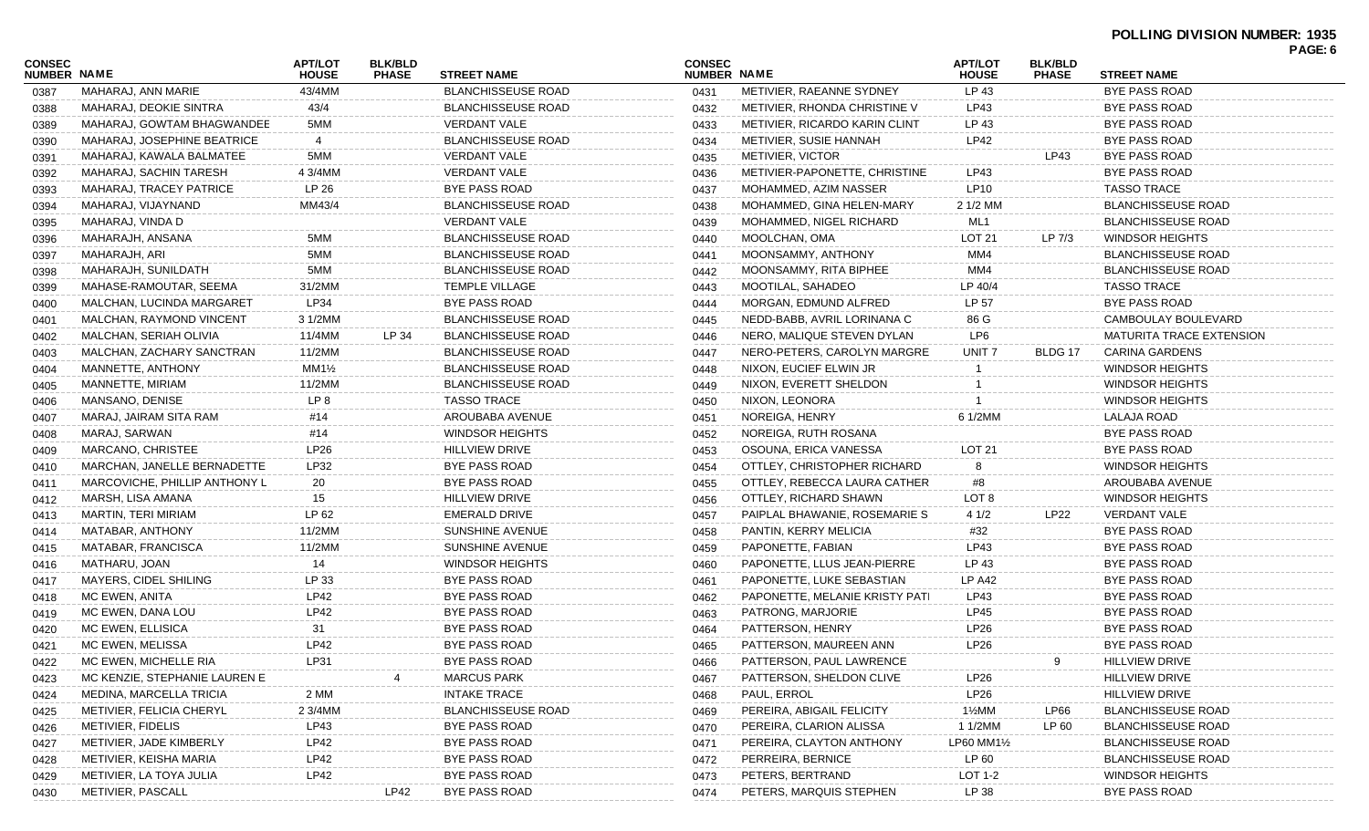| <b>CONSEC</b><br><b>NUMBER NAME</b> |                               | APT/LOT<br><b>HOUSE</b> | <b>BLK/BLD</b><br><b>PHASE</b> | <b>STREET NAME</b>        | <b>CONSEC</b><br>NUMBER NAME |                                | <b>APT/LOT</b><br><b>HOUSE</b> | <b>BLK/BLD</b><br><b>PHASE</b> | <b>STREET NAME</b>              | . nul. v |
|-------------------------------------|-------------------------------|-------------------------|--------------------------------|---------------------------|------------------------------|--------------------------------|--------------------------------|--------------------------------|---------------------------------|----------|
| 0387                                | MAHARAJ, ANN MARIE            | 43/4MM                  |                                | <b>BLANCHISSEUSE ROAD</b> | 0431                         | METIVIER, RAEANNE SYDNEY       | LP 43                          |                                | <b>BYE PASS ROAD</b>            |          |
| 0388                                | MAHARAJ, DEOKIE SINTRA        | 43/4                    |                                | <b>BLANCHISSEUSE ROAD</b> | 0432                         | METIVIER, RHONDA CHRISTINE V   | LP43                           |                                | BYE PASS ROAD                   |          |
| 0389                                | MAHARAJ, GOWTAM BHAGWANDEE    | 5MM                     |                                | VERDANT VALE              | 0433                         | METIVIER, RICARDO KARIN CLINT  | LP 43                          |                                | <b>BYE PASS ROAD</b>            |          |
| 0390                                | MAHARAJ, JOSEPHINE BEATRICE   | 4                       |                                | <b>BLANCHISSEUSE ROAD</b> | 0434                         | METIVIER, SUSIE HANNAH         | <b>LP42</b>                    |                                | <b>BYE PASS ROAD</b>            |          |
| 0391                                | MAHARAJ, KAWALA BALMATEE      | 5MM                     |                                | VERDANT VALE              | 0435                         | METIVIER, VICTOR               |                                | LP43                           | BYE PASS ROAD                   |          |
| 0392                                | MAHARAJ, SACHIN TARESH        | 4 3/4MM                 |                                | VERDANT VALE              | 0436                         | METIVIER-PAPONETTE, CHRISTINE  | LP43                           |                                | BYE PASS ROAD                   |          |
| 0393                                | MAHARAJ, TRACEY PATRICE       | LP 26                   |                                | <b>BYE PASS ROAD</b>      | 0437                         | MOHAMMED, AZIM NASSER          | LP10                           |                                | <b>TASSO TRACE</b>              |          |
| 0394                                | MAHARAJ, VIJAYNAND            | MM43/4                  |                                | <b>BLANCHISSEUSE ROAD</b> | 0438                         | MOHAMMED, GINA HELEN-MARY      | 2 1/2 MM                       |                                | <b>BLANCHISSEUSE ROAD</b>       |          |
| 0395                                | MAHARAJ, VINDA D              |                         |                                | <b>VERDANT VALE</b>       | 0439                         | MOHAMMED, NIGEL RICHARD        | ML1                            |                                | <b>BLANCHISSEUSE ROAD</b>       |          |
| 0396                                | MAHARAJH, ANSANA              | 5MM                     |                                | <b>BLANCHISSEUSE ROAD</b> | 0440                         | MOOLCHAN, OMA                  | LOT 21                         | LP 7/3                         | WINDSOR HEIGHTS                 |          |
| 0397                                | MAHARAJH, ARI                 | 5MM                     |                                | <b>BLANCHISSEUSE ROAD</b> | 0441                         | MOONSAMMY, ANTHONY             | MM4                            |                                | <b>BLANCHISSEUSE ROAD</b>       |          |
| 0398                                | MAHARAJH, SUNILDATH           | 5MM                     |                                | <b>BLANCHISSEUSE ROAD</b> | 0442                         | MOONSAMMY, RITA BIPHEE         | MM4                            |                                | <b>BLANCHISSEUSE ROAD</b>       |          |
| 0399                                | MAHASE-RAMOUTAR, SEEMA        | 31/2MM                  |                                | <b>TEMPLE VILLAGE</b>     | 0443                         | MOOTILAL, SAHADEO              | LP 40/4                        |                                | <b>TASSO TRACE</b>              |          |
| 0400                                | MALCHAN, LUCINDA MARGARET     | LP34                    |                                | BYE PASS ROAD             | 0444                         | MORGAN, EDMUND ALFRED          | LP 57                          |                                | BYE PASS ROAD                   |          |
| 0401                                | MALCHAN, RAYMOND VINCENT      | 3 1/2MM                 |                                | <b>BLANCHISSEUSE ROAD</b> | 0445                         | NEDD-BABB, AVRIL LORINANA C    | 86 G                           |                                | CAMBOULAY BOULEVARD             |          |
| 0402                                | MALCHAN, SERIAH OLIVIA        | 11/4MM                  | LP 34                          | <b>BLANCHISSEUSE ROAD</b> | 0446                         | NERO, MALIQUE STEVEN DYLAN     | LP6                            |                                | <b>MATURITA TRACE EXTENSION</b> |          |
| 0403                                | MALCHAN, ZACHARY SANCTRAN     | 11/2MM                  |                                | <b>BLANCHISSEUSE ROAD</b> | 0447                         | NERO-PETERS, CAROLYN MARGRE    | UNIT <sub>7</sub>              | BLDG 17                        | CARINA GARDENS                  |          |
| 0404                                | MANNETTE, ANTHONY             | $MM1\frac{1}{2}$        |                                | <b>BLANCHISSEUSE ROAD</b> | 0448                         | NIXON, EUCIEF ELWIN JR         |                                |                                | <b>WINDSOR HEIGHTS</b>          |          |
| 0405                                | MANNETTE, MIRIAM              | 11/2MM                  |                                | <b>BLANCHISSEUSE ROAD</b> | 0449                         | NIXON, EVERETT SHELDON         |                                |                                | <b>WINDSOR HEIGHTS</b>          |          |
| 0406                                | MANSANO, DENISE               | LP <sub>8</sub>         |                                | <b>TASSO TRACE</b>        | 0450                         | NIXON, LEONORA                 |                                |                                | <b>WINDSOR HEIGHTS</b>          |          |
| 0407                                | MARAJ, JAIRAM SITA RAM        | #14                     |                                | AROUBABA AVENUE           | 0451                         | NOREIGA, HENRY                 | 6 1/2MM                        |                                | LALAJA ROAD                     |          |
| 0408                                | MARAJ, SARWAN                 | #14                     |                                | <b>WINDSOR HEIGHTS</b>    | 0452                         | NOREIGA, RUTH ROSANA           |                                |                                | <b>BYE PASS ROAD</b>            |          |
| 0409                                | MARCANO, CHRISTEE             | LP26                    |                                | <b>HILLVIEW DRIVE</b>     | 0453                         | OSOUNA, ERICA VANESSA          | LOT <sub>21</sub>              |                                | BYE PASS ROAD                   |          |
| 0410                                | MARCHAN, JANELLE BERNADETTE   | LP32                    |                                | BYE PASS ROAD             | 0454                         | OTTLEY, CHRISTOPHER RICHARD    | 8                              |                                | WINDSOR HEIGHTS                 |          |
| 0411                                | MARCOVICHE, PHILLIP ANTHONY L | 20                      |                                | <b>BYE PASS ROAD</b>      | 0455                         | OTTLEY, REBECCA LAURA CATHER   | #8                             |                                | AROUBABA AVENUE                 |          |
| 0412                                | MARSH, LISA AMANA             | 15                      |                                | <b>HILLVIEW DRIVE</b>     | 0456                         | OTTLEY, RICHARD SHAWN          | LOT <sub>8</sub>               |                                | <b>WINDSOR HEIGHTS</b>          |          |
| 0413                                | MARTIN, TERI MIRIAM           | LP 62                   |                                | <b>EMERALD DRIVE</b>      | 0457                         | PAIPLAL BHAWANIE, ROSEMARIE S  | 41/2                           | <b>LP22</b>                    | <b>VERDANT VALE</b>             |          |
| 0414                                | MATABAR, ANTHONY              | 11/2MM                  |                                | SUNSHINE AVENUE           | 0458                         | PANTIN, KERRY MELICIA          | #32                            |                                | BYE PASS ROAD                   |          |
| 0415                                | MATABAR, FRANCISCA            | 11/2MM                  |                                | SUNSHINE AVENUE           | 0459                         | PAPONETTE, FABIAN              | LP43                           |                                | <b>BYE PASS ROAD</b>            |          |
| 0416                                | MATHARU, JOAN                 | 14                      |                                | <b>WINDSOR HEIGHTS</b>    | 0460                         | PAPONETTE, LLUS JEAN-PIERRE    | LP 43                          |                                | BYE PASS ROAD                   |          |
| 0417                                | MAYERS, CIDEL SHILING         | LP 33                   |                                | BYE PASS ROAD             | 0461                         | PAPONETTE, LUKE SEBASTIAN      | <b>LP A42</b>                  |                                | BYE PASS ROAD                   |          |
| 0418                                | MC EWEN, ANITA                | LP42                    |                                | <b>BYE PASS ROAD</b>      | 0462                         | PAPONETTE, MELANIE KRISTY PATI | LP43                           |                                | <b>BYE PASS ROAD</b>            |          |
| 0419                                | MC EWEN, DANA LOU             | <b>LP42</b>             |                                | <b>BYE PASS ROAD</b>      | 0463                         | PATRONG, MARJORIE              | <b>LP45</b>                    |                                | BYE PASS ROAD                   |          |
| 0420                                | MC EWEN, ELLISICA             | 31                      |                                | BYE PASS ROAD             | 0464                         | PATTERSON, HENRY               | LP26                           |                                | BYE PASS ROAD                   |          |
| 0421                                | MC EWEN, MELISSA              | <b>LP42</b>             |                                | <b>BYE PASS ROAD</b>      | 0465                         | PATTERSON, MAUREEN ANN         | <b>LP26</b>                    |                                | BYE PASS ROAD                   |          |
| 0422                                | MC EWEN, MICHELLE RIA         | LP31                    |                                | BYE PASS ROAD             | 0466                         | PATTERSON, PAUL LAWRENCE       |                                |                                | <b>HILLVIEW DRIVE</b>           |          |
| 0423                                | MC KENZIE, STEPHANIE LAUREN E |                         |                                | <b>MARCUS PARK</b>        | 0467                         | PATTERSON, SHELDON CLIVE       | LP26                           |                                | <b>HILLVIEW DRIVE</b>           |          |
| 0424                                | MEDINA, MARCELLA TRICIA       | 2 MM                    |                                | <b>INTAKE TRACE</b>       | 0468                         | PAUL, ERROL                    | LP26                           |                                | HILLVIEW DRIVE                  |          |
| 0425                                | METIVIER, FELICIA CHERYL      | 2 3/4MM                 |                                | <b>BLANCHISSEUSE ROAD</b> | 0469                         | PEREIRA, ABIGAIL FELICITY      | 1½MM                           | LP66                           | <b>BLANCHISSEUSE ROAD</b>       |          |
| 0426                                | METIVIER, FIDELIS             | LP43                    |                                | <b>BYE PASS ROAD</b>      | 0470                         | PEREIRA, CLARION ALISSA        | 1 1/2MM                        | LP 60                          | <b>BLANCHISSEUSE ROAD</b>       |          |
| 0427                                | METIVIER, JADE KIMBERLY       | LP42                    |                                | BYE PASS ROAD             | 0471                         | PEREIRA, CLAYTON ANTHONY       | LP60 MM1½                      |                                | <b>BLANCHISSEUSE ROAD</b>       |          |
| 0428                                | METIVIER, KEISHA MARIA        | LP42                    |                                | BYE PASS ROAD             | 0472                         | PERREIRA, BERNICE              | LP 60                          |                                | <b>BLANCHISSEUSE ROAD</b>       |          |
| 0429                                | METIVIER, LA TOYA JULIA       | LP42                    |                                | <b>BYE PASS ROAD</b>      | 0473                         | PETERS, BERTRAND               | <b>LOT 1-2</b>                 |                                | <b>WINDSOR HEIGHTS</b>          |          |
| 0430                                | METIVIER, PASCALL             |                         | LP42                           | <b>BYE PASS ROAD</b>      | 0474                         | PETERS, MARQUIS STEPHEN        | LP 38                          |                                | <b>BYE PASS ROAD</b>            |          |
|                                     |                               |                         |                                |                           |                              |                                |                                |                                |                                 |          |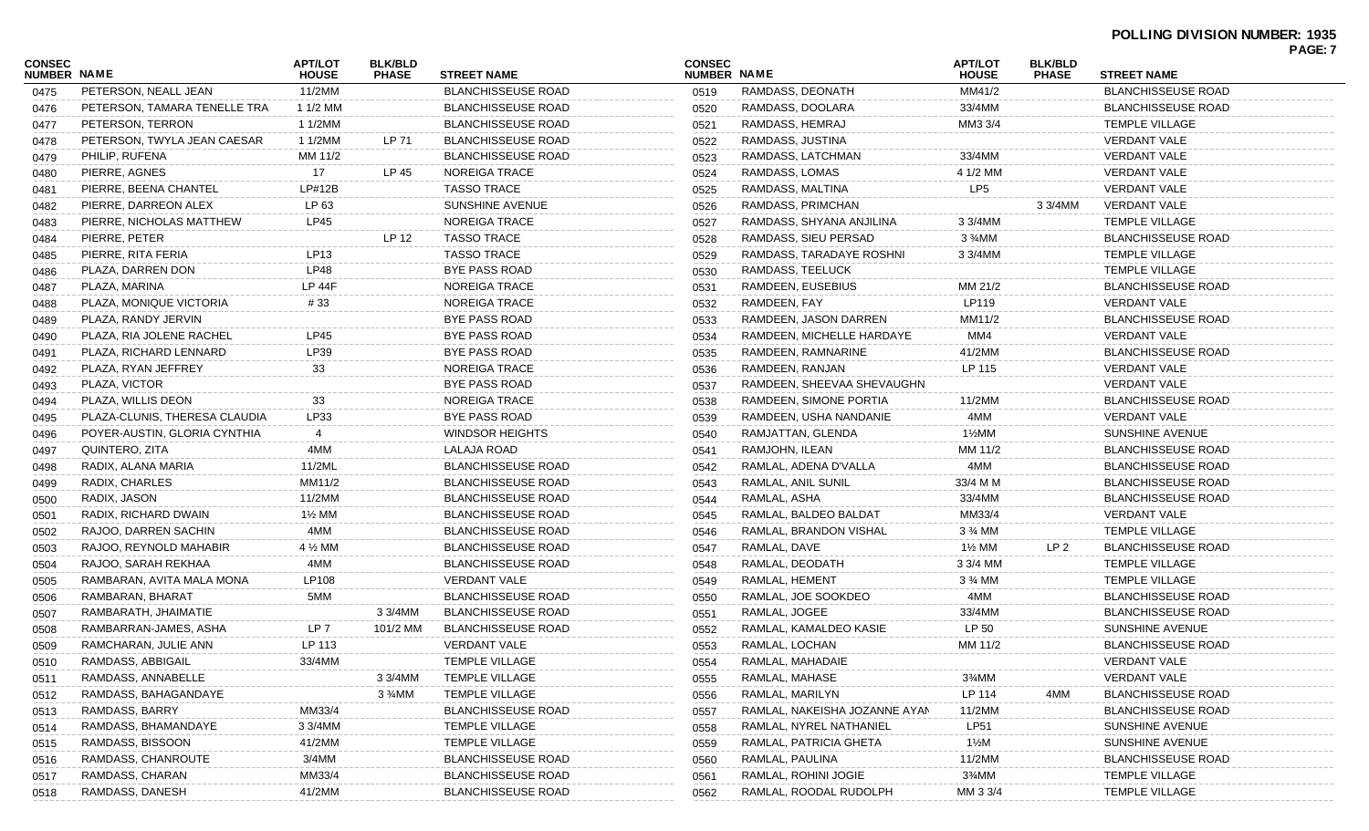| CONSEC<br><b>NUMBER NAME</b> |                               | <b>APT/LOT</b><br><b>HOUSE</b>   | <b>BLK/BLD</b><br><b>PHASE</b> | <b>STREET NAME</b>        | <b>CONSEC</b><br>NUMBER NAME |                               | <b>APT/LOT</b><br><b>HOUSE</b> | <b>BLK/BLD</b><br><b>PHASE</b> | <b>STREET NAME</b>        | . UU. 1 |
|------------------------------|-------------------------------|----------------------------------|--------------------------------|---------------------------|------------------------------|-------------------------------|--------------------------------|--------------------------------|---------------------------|---------|
| 0475                         | PETERSON, NEALL JEAN          | 11/2MM                           |                                | <b>BLANCHISSEUSE ROAD</b> | 0519                         | RAMDASS, DEONATH              | MM41/2                         |                                | <b>BLANCHISSEUSE ROAD</b> |         |
| 0476                         | PETERSON, TAMARA TENELLE TRA  | 1 1/2 MM                         |                                | <b>BLANCHISSEUSE ROAD</b> | 0520                         | RAMDASS, DOOLARA              | 33/4MM                         |                                | BLANCHISSEUSE ROAD        |         |
| 0477                         | PETERSON, TERRON              | 1 1/2MM                          |                                | <b>BLANCHISSEUSE ROAD</b> | 0521                         | RAMDASS, HEMRAJ               | MM3 3/4                        |                                | TEMPLE VILLAGE            |         |
| 0478                         | PETERSON, TWYLA JEAN CAESAR   | 1 1/2MM                          | LP 71                          | <b>BLANCHISSEUSE ROAD</b> | 0522                         | RAMDASS, JUSTINA              |                                |                                | VERDANT VALE              |         |
| 0479                         | PHILIP, RUFENA                | MM 11/2                          |                                | <b>BLANCHISSEUSE ROAD</b> | 0523                         | RAMDASS, LATCHMAN             | 33/4MM                         |                                | <b>VERDANT VALE</b>       |         |
| 0480                         | PIERRE, AGNES                 | 17                               | LP 45                          | <b>NOREIGA TRACE</b>      | 0524                         | RAMDASS, LOMAS                | 4 1/2 MM                       |                                | <b>VERDANT VALE</b>       |         |
| 0481                         | PIERRE, BEENA CHANTEL         | LP#12B                           |                                | <b>TASSO TRACE</b>        | 0525                         | RAMDASS, MALTINA              | LP <sub>5</sub>                |                                | <b>VERDANT VALE</b>       |         |
| 0482                         | PIERRE, DARREON ALEX          | LP 63                            |                                | <b>SUNSHINE AVENUE</b>    | 0526                         | RAMDASS, PRIMCHAN             |                                | 3 3/4MM                        | VERDANT VALE              |         |
| 0483                         | PIERRE, NICHOLAS MATTHEW      | LP45                             |                                | <b>NOREIGA TRACE</b>      | 0527                         | RAMDASS, SHYANA ANJILINA      | 3 3/4MM                        |                                | <b>TEMPLE VILLAGE</b>     |         |
| 0484                         | PIERRE, PETER                 |                                  | LP 12                          | <b>TASSO TRACE</b>        | 0528                         | RAMDASS, SIEU PERSAD          | $3\frac{3}{4}$ MM              |                                | <b>BLANCHISSEUSE ROAD</b> |         |
| 0485                         | PIERRE, RITA FERIA            | LP13                             |                                | <b>TASSO TRACE</b>        | 0529                         | RAMDASS, TARADAYE ROSHNI      | 3 3/4MM                        |                                | <b>TEMPLE VILLAGE</b>     |         |
| 0486                         | PLAZA, DARREN DON             | <b>LP48</b>                      |                                | <b>BYE PASS ROAD</b>      | 0530                         | RAMDASS, TEELUCK              |                                |                                | TEMPLE VILLAGE            |         |
| 0487                         | PLAZA, MARINA                 | <b>LP 44F</b>                    |                                | NOREIGA TRACE             | 0531                         | RAMDEEN, EUSEBIUS             | MM 21/2                        |                                | <b>BLANCHISSEUSE ROAD</b> |         |
| 0488                         | PLAZA, MONIQUE VICTORIA       | #33                              |                                | NOREIGA TRACE             | 0532                         | RAMDEEN, FAY                  | LP119                          |                                | <b>VERDANT VALE</b>       |         |
| 0489                         | PLAZA, RANDY JERVIN           |                                  |                                | <b>BYE PASS ROAD</b>      | 0533                         | RAMDEEN, JASON DARREN         | MM11/2                         |                                | BLANCHISSEUSE ROAD        |         |
| 0490                         | PLAZA, RIA JOLENE RACHEL      | LP45                             |                                | <b>BYE PASS ROAD</b>      | 0534                         | RAMDEEN, MICHELLE HARDAYE     | MM4                            |                                | <b>VERDANT VALE</b>       |         |
| 0491                         | PLAZA, RICHARD LENNARD        | LP39                             |                                | <b>BYE PASS ROAD</b>      | 0535                         | RAMDEEN, RAMNARINE            | 41/2MM                         |                                | BLANCHISSEUSE ROAD        |         |
| 0492                         | PLAZA, RYAN JEFFREY           | 33                               |                                | NOREIGA TRACE             | 0536                         | RAMDEEN, RANJAN               | LP 115                         |                                | <b>VERDANT VALE</b>       |         |
| 0493                         | PLAZA, VICTOR                 |                                  |                                | <b>BYE PASS ROAD</b>      | 0537                         | RAMDEEN, SHEEVAA SHEVAUGHN    |                                |                                | VERDANT VALE              |         |
| 0494                         | PLAZA, WILLIS DEON            | 33                               |                                | <b>NOREIGA TRACE</b>      | 0538                         | RAMDEEN, SIMONE PORTIA        | 11/2MM                         |                                | <b>BLANCHISSEUSE ROAD</b> |         |
| 0495                         | PLAZA-CLUNIS, THERESA CLAUDIA | LP33                             |                                | <b>BYE PASS ROAD</b>      | 0539                         | RAMDEEN, USHA NANDANIE        | 4MM                            |                                | <b>VERDANT VALE</b>       |         |
| 0496                         | POYER-AUSTIN, GLORIA CYNTHIA  | 4                                |                                | <b>WINDSOR HEIGHTS</b>    | 0540                         | RAMJATTAN, GLENDA             | $1\frac{1}{2}$ MM              |                                | SUNSHINE AVENUE           |         |
| 0497                         | QUINTERO, ZITA                | 4MM                              |                                | LALAJA ROAD               | 0541                         | RAMJOHN, ILEAN                | MM 11/2                        |                                | BLANCHISSEUSE ROAD        |         |
| 0498                         | RADIX, ALANA MARIA            | 11/2ML                           |                                | <b>BLANCHISSEUSE ROAD</b> | 0542                         | RAMLAL, ADENA D'VALLA         | 4MM                            |                                | <b>BLANCHISSEUSE ROAD</b> |         |
| 0499                         | RADIX, CHARLES                | MM11/2                           |                                | <b>BLANCHISSEUSE ROAD</b> | 0543                         | RAMLAL, ANIL SUNIL            | 33/4 M M                       |                                | <b>BLANCHISSEUSE ROAD</b> |         |
| 0500                         | RADIX, JASON                  | 11/2MM                           |                                | <b>BLANCHISSEUSE ROAD</b> | 0544                         | RAMLAL, ASHA                  | 33/4MM                         |                                | <b>BLANCHISSEUSE ROAD</b> |         |
| 0501                         | RADIX, RICHARD DWAIN          | 1½ MM                            |                                | <b>BLANCHISSEUSE ROAD</b> | 0545                         | RAMLAL, BALDEO BALDAT         | MM33/4                         |                                | VERDANT VALE              |         |
| 0502                         | RAJOO, DARREN SACHIN          | 4MM                              |                                | <b>BLANCHISSEUSE ROAD</b> | 0546                         | RAMLAL, BRANDON VISHAL        | 3 % MM                         |                                | <b>TEMPLE VILLAGE</b>     |         |
| 0503                         | RAJOO, REYNOLD MAHABIR        | 4 <sup>/</sup> / <sub>2</sub> MM |                                | <b>BLANCHISSEUSE ROAD</b> | 0547                         | RAMLAL, DAVE                  | 1½ MM                          | LP <sub>2</sub>                | <b>BLANCHISSEUSE ROAD</b> |         |
| 0504                         | RAJOO, SARAH REKHAA           | 4MM                              |                                | <b>BLANCHISSEUSE ROAD</b> | 0548                         | RAMLAL, DEODATH               | 3 3/4 MM                       |                                | <b>TEMPLE VILLAGE</b>     |         |
| 0505                         | RAMBARAN, AVITA MALA MONA     | LP108                            |                                | <b>VERDANT VALE</b>       | 0549                         | RAMLAL, HEMENT                | 3 % MM                         |                                | <b>TEMPLE VILLAGE</b>     |         |
| 0506                         | RAMBARAN, BHARAT              | 5MM                              |                                | <b>BLANCHISSEUSE ROAD</b> | 0550                         | RAMLAL, JOE SOOKDEO           | 4MM                            |                                | BLANCHISSEUSE ROAD        |         |
| 0507                         | RAMBARATH, JHAIMATIE          |                                  | 3 3/4MM                        | <b>BLANCHISSEUSE ROAD</b> | 0551                         | RAMLAL, JOGEE                 | 33/4MM                         |                                | <b>BLANCHISSEUSE ROAD</b> |         |
| 0508                         | RAMBARRAN-JAMES, ASHA         | LP 7                             | 101/2 MM                       | <b>BLANCHISSEUSE ROAD</b> | 0552                         | RAMLAL, KAMALDEO KASIE        | LP 50                          |                                | SUNSHINE AVENUE           |         |
| 0509                         | RAMCHARAN, JULIE ANN          | LP 113                           |                                | <b>VERDANT VALE</b>       | 0553                         | RAMLAL, LOCHAN                | MM 11/2                        |                                | <b>BLANCHISSEUSE ROAD</b> |         |
| 0510                         | RAMDASS, ABBIGAIL             | 33/4MM                           |                                | TEMPLE VILLAGE            | 0554                         | RAMLAL, MAHADAIE              |                                |                                | VERDANT VALE              |         |
| 0511                         | RAMDASS, ANNABELLE            |                                  | 3 3/4MM                        | <b>TEMPLE VILLAGE</b>     | 0555                         | RAMLAL, MAHASE                | 3%MM                           |                                | <b>VERDANT VALE</b>       |         |
| 0512                         | RAMDASS, BAHAGANDAYE          |                                  | $3\frac{3}{4}$ MM              | <b>TEMPLE VILLAGE</b>     | 0556                         | RAMLAL, MARILYN               | LP 114                         | 4MM                            | <b>BLANCHISSEUSE ROAD</b> |         |
| 0513                         | RAMDASS, BARRY                | MM33/4                           |                                | <b>BLANCHISSEUSE ROAD</b> | 0557                         | RAMLAL, NAKEISHA JOZANNE AYAN | 11/2MM                         |                                | <b>BLANCHISSEUSE ROAD</b> |         |
| 0514                         | RAMDASS, BHAMANDAYE           | 3 3/4MM                          |                                | <b>TEMPLE VILLAGE</b>     | 0558                         | RAMLAL, NYREL NATHANIEL       | <b>LP51</b>                    |                                | SUNSHINE AVENUE           |         |
| 0515                         | RAMDASS, BISSOON              | 41/2MM                           |                                | <b>TEMPLE VILLAGE</b>     | 0559                         | RAMLAL, PATRICIA GHETA        | 1½M                            |                                | SUNSHINE AVENUE           |         |
| 0516                         | RAMDASS, CHANROUTE            | 3/4MM                            |                                | <b>BLANCHISSEUSE ROAD</b> | 0560                         | RAMLAL, PAULINA               | 11/2MM                         |                                | <b>BLANCHISSEUSE ROAD</b> |         |
| 0517                         | RAMDASS, CHARAN               | MM33/4                           |                                | <b>BLANCHISSEUSE ROAD</b> | 0561                         | RAMLAL, ROHINI JOGIE          | 3¾MM                           |                                | TEMPLE VILLAGE            |         |
| 0518                         | RAMDASS, DANESH               | 41/2MM                           |                                | <b>BLANCHISSEUSE ROAD</b> | 0562                         | RAMLAL, ROODAL RUDOLPH        | MM 3 3/4                       |                                | TEMPLE VILLAGE            |         |
|                              |                               |                                  |                                |                           |                              |                               |                                |                                |                           |         |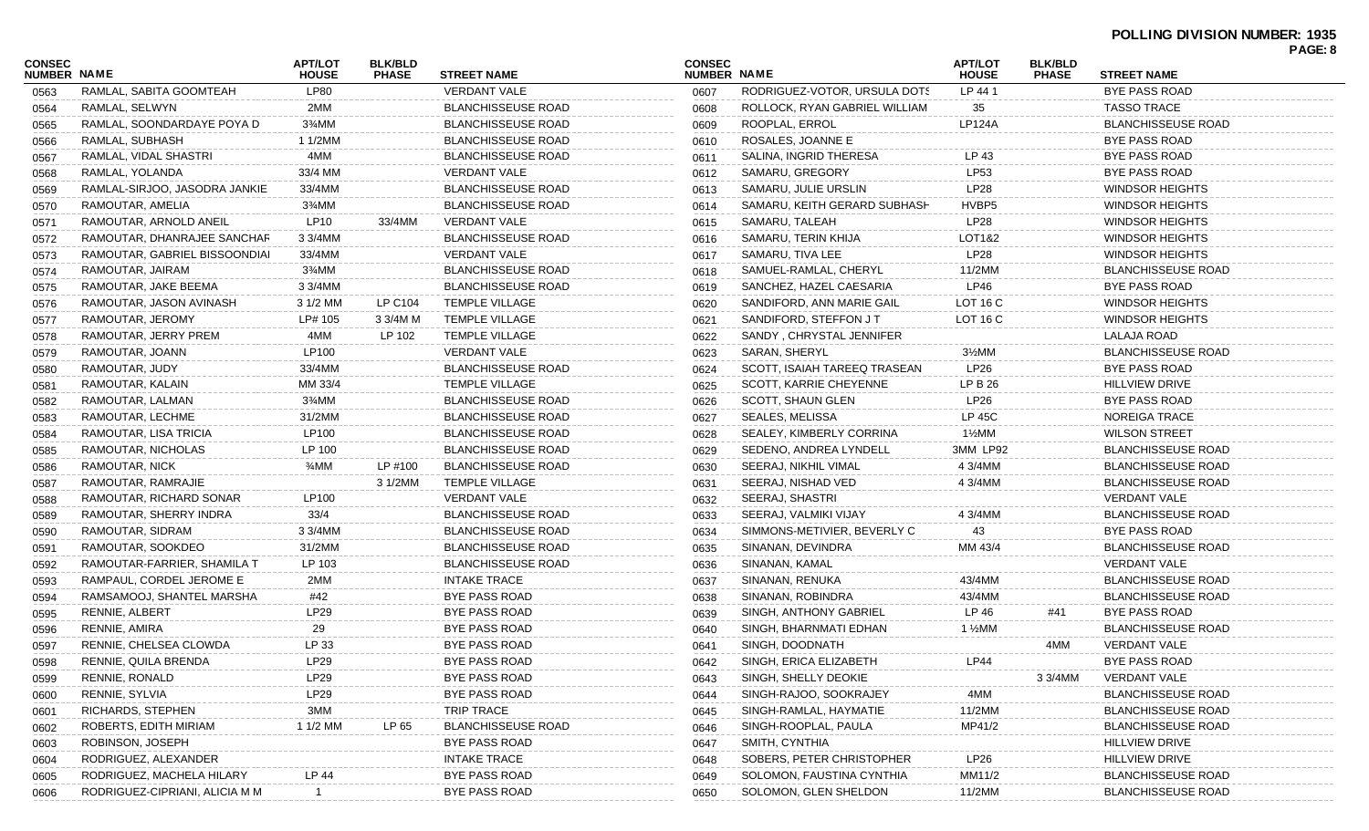| <b>CONSEC</b>      |                                | <b>APT/LOT</b> | <b>BLK/BLD</b> |                           | <b>CONSEC</b> |                               | <b>APT/LOT</b>    | <b>BLK/BLD</b> |                           |  |
|--------------------|--------------------------------|----------------|----------------|---------------------------|---------------|-------------------------------|-------------------|----------------|---------------------------|--|
| <b>NUMBER NAME</b> |                                | <b>HOUSE</b>   | <b>PHASE</b>   | <b>STREET NAME</b>        | NUMBER NAME   |                               | <b>HOUSE</b>      | <b>PHASE</b>   | <b>STREET NAME</b>        |  |
| 0563               | RAMLAL, SABITA GOOMTEAH        | <b>LP80</b>    |                | VERDANT VALE              | 0607          | RODRIGUEZ-VOTOR, URSULA DOTS  | LP 441            |                | <b>BYE PASS ROAD</b>      |  |
| 0564               | RAMLAL, SELWYN                 | 2MM            |                | <b>BLANCHISSEUSE ROAD</b> | 0608          | ROLLOCK, RYAN GABRIEL WILLIAM | 35                |                | <b>TASSO TRACE</b>        |  |
| 0565               | RAMLAL, SOONDARDAYE POYA D     | 3¾MM           |                | <b>BLANCHISSEUSE ROAD</b> | 0609          | ROOPLAL, ERROL                | <b>LP124A</b>     |                | <b>BLANCHISSEUSE ROAD</b> |  |
| 0566               | RAMLAL, SUBHASH                | 1 1/2MM        |                | <b>BLANCHISSEUSE ROAD</b> | 0610          | ROSALES, JOANNE E             |                   |                | <b>BYE PASS ROAD</b>      |  |
| 0567               | RAMLAL, VIDAL SHASTRI          | 4MM            |                | <b>BLANCHISSEUSE ROAD</b> | 0611          | SALINA, INGRID THERESA        | LP 43             |                | <b>BYE PASS ROAD</b>      |  |
| 0568               | RAMLAL, YOLANDA                | 33/4 MM        |                | <b>VERDANT VALE</b>       | 0612          | SAMARU, GREGORY               | LP53              |                | <b>BYE PASS ROAD</b>      |  |
| 0569               | RAMLAL-SIRJOO, JASODRA JANKIE  | 33/4MM         |                | <b>BLANCHISSEUSE ROAD</b> | 0613          | SAMARU, JULIE URSLIN          | LP28              |                | <b>WINDSOR HEIGHTS</b>    |  |
| 0570               | RAMOUTAR, AMELIA               | 3¾MM           |                | <b>BLANCHISSEUSE ROAD</b> | 0614          | SAMARU, KEITH GERARD SUBHASH  | HVBP5             |                | <b>WINDSOR HEIGHTS</b>    |  |
| 0571               | RAMOUTAR, ARNOLD ANEIL         | LP10           | 33/4MM         | <b>VERDANT VALE</b>       | 0615          | SAMARU, TALEAH                | LP28              |                | <b>WINDSOR HEIGHTS</b>    |  |
| 0572               | RAMOUTAR, DHANRAJEE SANCHAR    | 3 3/4MM        |                | <b>BLANCHISSEUSE ROAD</b> | 0616          | SAMARU, TERIN KHIJA           | LOT1&2            |                | <b>WINDSOR HEIGHTS</b>    |  |
| 0573               | RAMOUTAR, GABRIEL BISSOONDIAI  | 33/4MM         |                | <b>VERDANT VALE</b>       | 0617          | SAMARU, TIVA LEE              | LP28              |                | <b>WINDSOR HEIGHTS</b>    |  |
| 0574               | RAMOUTAR, JAIRAM               | 3%MM           |                | <b>BLANCHISSEUSE ROAD</b> | 0618          | SAMUEL-RAMLAL, CHERYL         | 11/2MM            |                | <b>BLANCHISSEUSE ROAD</b> |  |
| 0575               | RAMOUTAR, JAKE BEEMA           | 3 3/4MM        |                | <b>BLANCHISSEUSE ROAD</b> | 0619          | SANCHEZ, HAZEL CAESARIA       | LP46              |                | <b>BYE PASS ROAD</b>      |  |
| 0576               | RAMOUTAR, JASON AVINASH        | 3 1/2 MM       | LP C104        | <b>TEMPLE VILLAGE</b>     | 0620          | SANDIFORD, ANN MARIE GAIL     | LOT 16 C          |                | <b>WINDSOR HEIGHTS</b>    |  |
| 0577               | RAMOUTAR, JEROMY               | LP# 105        | 3 3/4M M       | <b>TEMPLE VILLAGE</b>     | 0621          | SANDIFORD, STEFFON JT         | LOT 16 C          |                | <b>WINDSOR HEIGHTS</b>    |  |
| 0578               | RAMOUTAR, JERRY PREM           | 4MM            | LP 102         | <b>TEMPLE VILLAGE</b>     | 0622          | SANDY, CHRYSTAL JENNIFER      |                   |                | LALAJA ROAD               |  |
| 0579               | RAMOUTAR, JOANN                | LP100          |                | <b>VERDANT VALE</b>       | 0623          | SARAN, SHERYL                 | 3½MM              |                | <b>BLANCHISSEUSE ROAD</b> |  |
| 0580               | RAMOUTAR, JUDY                 | 33/4MM         |                | <b>BLANCHISSEUSE ROAD</b> | 0624          | SCOTT, ISAIAH TAREEQ TRASEAN  | LP26              |                | <b>BYE PASS ROAD</b>      |  |
| 0581               | RAMOUTAR, KALAIN               | MM 33/4        |                | <b>TEMPLE VILLAGE</b>     | 0625          | SCOTT, KARRIE CHEYENNE        | LP B 26           |                | <b>HILLVIEW DRIVE</b>     |  |
| 0582               | RAMOUTAR, LALMAN               | 3%MM           |                | <b>BLANCHISSEUSE ROAD</b> | 0626          | <b>SCOTT, SHAUN GLEN</b>      | LP26              |                | <b>BYE PASS ROAD</b>      |  |
| 0583               | RAMOUTAR, LECHME               | 31/2MM         |                | <b>BLANCHISSEUSE ROAD</b> | 0627          | SEALES, MELISSA               | <b>LP 45C</b>     |                | <b>NOREIGA TRACE</b>      |  |
| 0584               | RAMOUTAR, LISA TRICIA          | LP100          |                | <b>BLANCHISSEUSE ROAD</b> | 0628          | SEALEY, KIMBERLY CORRINA      | 1½MM              |                | <b>WILSON STREET</b>      |  |
| 0585               | RAMOUTAR, NICHOLAS             | LP 100         |                | <b>BLANCHISSEUSE ROAD</b> | 0629          | SEDENO, ANDREA LYNDELL        | 3MM LP92          |                | <b>BLANCHISSEUSE ROAD</b> |  |
| 0586               | RAMOUTAR, NICK                 | 3⁄4MM          | LP #100        | <b>BLANCHISSEUSE ROAD</b> | 0630          | SEERAJ, NIKHIL VIMAL          | 4 3/4MM           |                | <b>BLANCHISSEUSE ROAD</b> |  |
| 0587               | RAMOUTAR, RAMRAJIE             |                | 3 1/2MM        | <b>TEMPLE VILLAGE</b>     | 0631          | SEERAJ, NISHAD VED            | 4 3/4MM           |                | <b>BLANCHISSEUSE ROAD</b> |  |
| 0588               | RAMOUTAR, RICHARD SONAR        | LP100          |                | <b>VERDANT VALE</b>       | 0632          | SEERAJ, SHASTRI               |                   |                | <b>VERDANT VALE</b>       |  |
| 0589               | RAMOUTAR, SHERRY INDRA         | 33/4           |                | <b>BLANCHISSEUSE ROAD</b> | 0633          | SEERAJ, VALMIKI VIJAY         | 4 3/4MM           |                | <b>BLANCHISSEUSE ROAD</b> |  |
| 0590               | RAMOUTAR, SIDRAM               | 3 3/4MM        |                | <b>BLANCHISSEUSE ROAD</b> | 0634          | SIMMONS-METIVIER, BEVERLY C   | 43                |                | <b>BYE PASS ROAD</b>      |  |
| 0591               | RAMOUTAR, SOOKDEO              | 31/2MM         |                | <b>BLANCHISSEUSE ROAD</b> | 0635          | SINANAN, DEVINDRA             | MM 43/4           |                | <b>BLANCHISSEUSE ROAD</b> |  |
| 0592               | RAMOUTAR-FARRIER, SHAMILA T    | LP 103         |                | <b>BLANCHISSEUSE ROAD</b> | 0636          | SINANAN, KAMAL                |                   |                | <b>VERDANT VALE</b>       |  |
| 0593               | RAMPAUL, CORDEL JEROME E       | 2MM            |                | <b>INTAKE TRACE</b>       | 0637          | SINANAN, RENUKA               | 43/4MM            |                | <b>BLANCHISSEUSE ROAD</b> |  |
| 0594               | RAMSAMOOJ, SHANTEL MARSHA      | #42            |                | <b>BYE PASS ROAD</b>      | 0638          | SINANAN, ROBINDRA             | 43/4MM            |                | <b>BLANCHISSEUSE ROAD</b> |  |
| 0595               | RENNIE, ALBERT                 | LP29           |                | <b>BYE PASS ROAD</b>      | 0639          | SINGH, ANTHONY GABRIEL        | LP 46             | #41            | <b>BYE PASS ROAD</b>      |  |
| 0596               | RENNIE, AMIRA                  | 29             |                | <b>BYE PASS ROAD</b>      | 0640          | SINGH, BHARNMATI EDHAN        | $1\frac{1}{2}$ MM |                | <b>BLANCHISSEUSE ROAD</b> |  |
| 0597               | RENNIE, CHELSEA CLOWDA         | LP 33          |                | <b>BYE PASS ROAD</b>      | 0641          | SINGH, DOODNATH               |                   | 4MM            | <b>VERDANT VALE</b>       |  |
| 0598               | RENNIE, QUILA BRENDA           | LP29           |                | BYE PASS ROAD             | 0642          | SINGH, ERICA ELIZABETH        | <b>LP44</b>       |                | <b>BYE PASS ROAD</b>      |  |
| 0599               | RENNIE, RONALD                 | LP29           |                | <b>BYE PASS ROAD</b>      | 0643          | SINGH, SHELLY DEOKIE          |                   | 3 3/4MM        | <b>VERDANT VALE</b>       |  |
| 0600               | RENNIE, SYLVIA                 | LP29           |                | <b>BYE PASS ROAD</b>      | 0644          | SINGH-RAJOO, SOOKRAJEY        | 4MM               |                | <b>BLANCHISSEUSE ROAD</b> |  |
| 0601               | RICHARDS, STEPHEN              | 3MM            |                | <b>TRIP TRACE</b>         | 0645          | SINGH-RAMLAL, HAYMATIE        | 11/2MM            |                | <b>BLANCHISSEUSE ROAD</b> |  |
| 0602               | ROBERTS, EDITH MIRIAM          | 1 1/2 MM       | LP 65          | <b>BLANCHISSEUSE ROAD</b> | 0646          | SINGH-ROOPLAL, PAULA          | MP41/2            |                | <b>BLANCHISSEUSE ROAD</b> |  |
| 0603               | ROBINSON, JOSEPH               |                |                | BYE PASS ROAD             | 0647          | SMITH, CYNTHIA                |                   |                | <b>HILLVIEW DRIVE</b>     |  |
| 0604               | RODRIGUEZ, ALEXANDER           |                |                | <b>INTAKE TRACE</b>       | 0648          | SOBERS, PETER CHRISTOPHER     | LP26              |                | <b>HILLVIEW DRIVE</b>     |  |
| 0605               | RODRIGUEZ, MACHELA HILARY      | LP 44          |                | <b>BYE PASS ROAD</b>      | 0649          | SOLOMON, FAUSTINA CYNTHIA     | MM11/2            |                | <b>BLANCHISSEUSE ROAD</b> |  |
| 0606               | RODRIGUEZ-CIPRIANI, ALICIA M M |                |                | <b>BYE PASS ROAD</b>      | 0650          | SOLOMON, GLEN SHELDON         | 11/2MM            |                | <b>BLANCHISSEUSE ROAD</b> |  |
|                    |                                |                |                |                           |               |                               |                   |                |                           |  |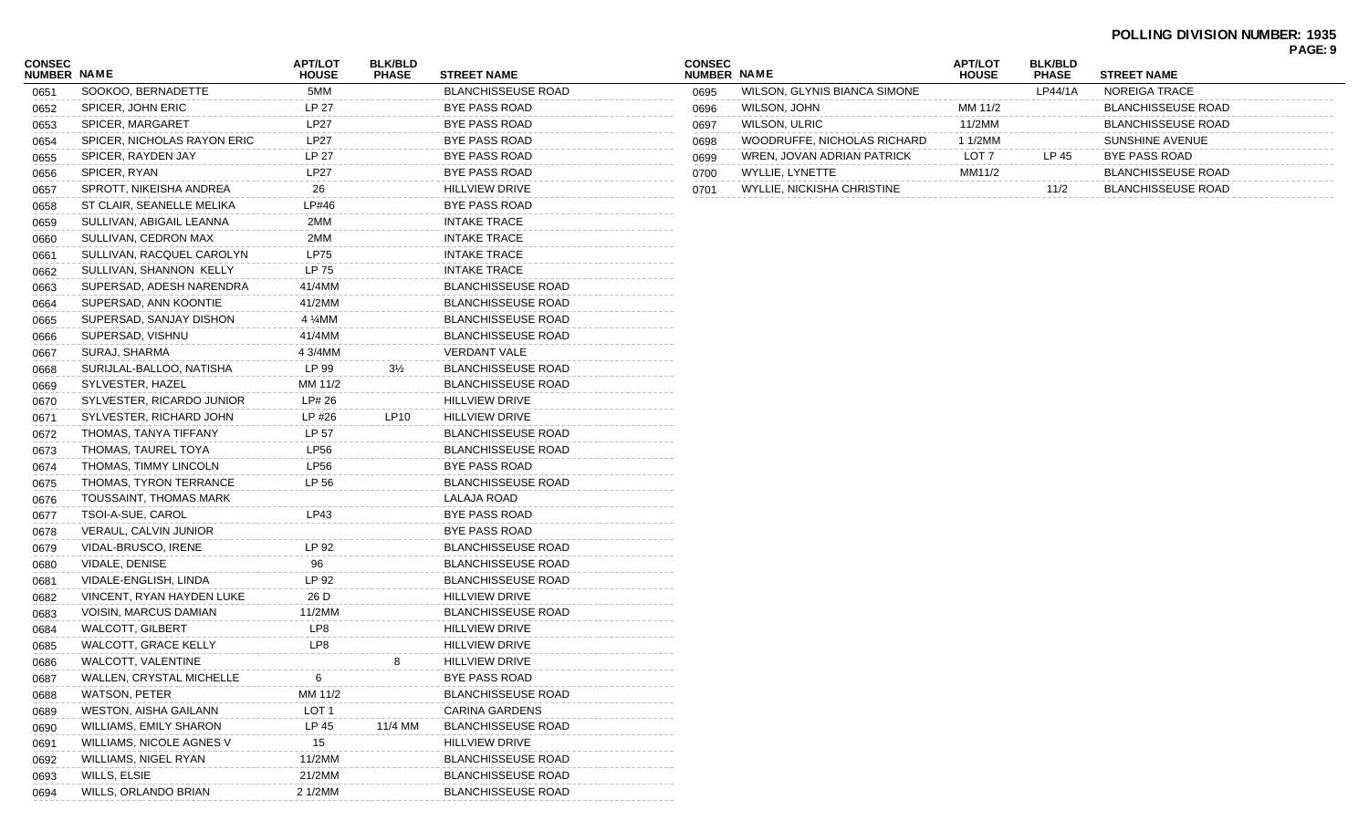| <b>CONSEC</b><br><b>NUMBER NAME</b> |                                  | <b>APT/LOT</b><br><b>HOUSE</b> | <b>BLK/BLD</b><br><b>PHASE</b> | <b>STREET NAME</b>        |
|-------------------------------------|----------------------------------|--------------------------------|--------------------------------|---------------------------|
| 0651                                | SOOKOO, BERNADETTE               | 5MM                            |                                | <b>BLANCHISSEUSE ROAD</b> |
| 0652                                | SPICER, JOHN ERIC                | LP 27                          |                                | <b>BYE PASS ROAD</b>      |
| 0653                                | SPICER, MARGARET                 | <b>LP27</b>                    |                                | <b>BYE PASS ROAD</b>      |
| 0654                                | SPICER, NICHOLAS RAYON ERIC      | <b>LP27</b>                    |                                | <b>BYE PASS ROAD</b>      |
| 0655                                | SPICER, RAYDEN JAY               | LP 27                          |                                | <b>BYE PASS ROAD</b>      |
| 0656                                | SPICER, RYAN                     | <b>LP27</b>                    |                                | <b>BYE PASS ROAD</b>      |
| 0657                                | SPROTT, NIKEISHA ANDREA          | 26                             |                                | <b>HILLVIEW DRIVE</b>     |
| 0658                                | ST CLAIR, SEANELLE MELIKA        | LP#46                          |                                | <b>BYE PASS ROAD</b>      |
| 0659                                | SULLIVAN, ABIGAIL LEANNA         | 2MM                            |                                | <b>INTAKE TRACE</b>       |
| 0660                                | SULLIVAN, CEDRON MAX             | 2MM                            |                                | <b>INTAKE TRACE</b>       |
| 0661                                | SULLIVAN, RACQUEL CAROLYN        | <b>LP75</b>                    |                                | <b>INTAKE TRACE</b>       |
| 0662                                | SULLIVAN, SHANNON KELLY          | LP 75                          |                                | <b>INTAKE TRACE</b>       |
| 0663                                | SUPERSAD, ADESH NARENDRA         | 41/4MM                         |                                | <b>BLANCHISSEUSE ROAD</b> |
| 0664                                | SUPERSAD, ANN KOONTIE            | 41/2MM                         |                                | <b>BLANCHISSEUSE ROAD</b> |
| 0665                                | SUPERSAD, SANJAY DISHON          | 4 %MM                          |                                | <b>BLANCHISSEUSE ROAD</b> |
| 0666                                | SUPERSAD, VISHNU                 | 41/4MM                         |                                | <b>BLANCHISSEUSE ROAD</b> |
| 0667                                | SURAJ, SHARMA                    | 4 3/4MM                        |                                | <b>VERDANT VALE</b>       |
| 0668                                | SURIJLAL-BALLOO, NATISHA         | LP 99                          | $3\frac{1}{2}$                 | <b>BLANCHISSEUSE ROAD</b> |
| 0669                                | SYLVESTER, HAZEL                 | MM 11/2                        |                                | <b>BLANCHISSEUSE ROAD</b> |
| 0670                                | SYLVESTER, RICARDO JUNIOR        | LP# 26                         |                                | <b>HILLVIEW DRIVE</b>     |
| 0671                                | SYLVESTER, RICHARD JOHN          | LP #26                         | LP10                           | <b>HILLVIEW DRIVE</b>     |
| 0672                                | THOMAS, TANYA TIFFANY            | LP 57                          |                                | <b>BLANCHISSEUSE ROAD</b> |
| 0673                                | THOMAS, TAUREL TOYA              | <b>LP56</b>                    |                                | <b>BLANCHISSEUSE ROAD</b> |
| 0674                                | THOMAS, TIMMY LINCOLN            | <b>LP56</b>                    |                                | <b>BYE PASS ROAD</b>      |
| 0675                                | THOMAS, TYRON TERRANCE           | LP 56                          |                                | <b>BLANCHISSEUSE ROAD</b> |
| 0676                                | TOUSSAINT, THOMAS MARK           |                                |                                | LALAJA ROAD               |
| 0677                                | TSOI-A-SUE, CAROL                | LP43                           |                                | <b>BYE PASS ROAD</b>      |
| 0678                                | VERAUL, CALVIN JUNIOR            |                                |                                | <b>BYE PASS ROAD</b>      |
| 0679                                | VIDAL-BRUSCO, IRENE              | LP 92                          |                                | <b>BLANCHISSEUSE ROAD</b> |
| 0680                                | VIDALE, DENISE                   | 96                             |                                | <b>BLANCHISSEUSE ROAD</b> |
| 0681                                | VIDALE-ENGLISH, LINDA            | LP 92                          |                                | <b>BLANCHISSEUSE ROAD</b> |
| 0682                                | <b>VINCENT, RYAN HAYDEN LUKE</b> | 26 D                           |                                | <b>HILLVIEW DRIVE</b>     |
| 0683                                | VOISIN, MARCUS DAMIAN            | 11/2MM                         |                                | <b>BLANCHISSEUSE ROAD</b> |
| 0684                                | <b>WALCOTT, GILBERT</b>          | LP8                            |                                | <b>HILLVIEW DRIVE</b>     |
| 0685                                | WALCOTT, GRACE KELLY             | LP8                            |                                | <b>HILLVIEW DRIVE</b>     |
| 0686                                | WALCOTT, VALENTINE               |                                | 8                              | <b>HILLVIEW DRIVE</b>     |
| 0687                                | WALLEN, CRYSTAL MICHELLE         | 6                              |                                | BYE PASS ROAD             |
| 0688                                | <b>WATSON, PETER</b>             | MM 11/2                        |                                | <b>BLANCHISSEUSE ROAD</b> |
| 0689                                | <b>WESTON, AISHA GAILANN</b>     | LOT <sub>1</sub>               |                                | CARINA GARDENS            |
| 0690                                | WILLIAMS, EMILY SHARON           | LP 45                          | 11/4 MM                        | <b>BLANCHISSEUSE ROAD</b> |
| 0691                                | WILLIAMS, NICOLE AGNES V         | 15                             |                                | <b>HILLVIEW DRIVE</b>     |
| 0692                                | WILLIAMS, NIGEL RYAN             | 11/2MM                         |                                | <b>BLANCHISSEUSE ROAD</b> |
| 0693                                | WILLS, ELSIE                     | 21/2MM                         |                                | <b>BLANCHISSEUSE ROAD</b> |
| 0694                                | WILLS, ORLANDO BRIAN             | 2 1/2MM                        |                                | <b>BLANCHISSEUSE ROAD</b> |
|                                     |                                  |                                |                                |                           |

| <b>CONSEC</b><br>NUMBER NAME |                              | <b>APT/LOT</b><br><b>HOUSE</b> | <b>BLK/BLD</b><br><b>PHASE</b> | <b>STREET NAME</b>        |
|------------------------------|------------------------------|--------------------------------|--------------------------------|---------------------------|
| 0695                         | WILSON, GLYNIS BIANCA SIMONE |                                | LP44/1A                        | NOREIGA TRACE             |
| 0696                         | WILSON, JOHN                 | MM 11/2                        |                                | <b>BLANCHISSEUSE ROAD</b> |
| 0697                         | <b>WILSON, ULRIC</b>         | 11/2MM                         |                                | <b>BLANCHISSEUSE ROAD</b> |
| 0698                         | WOODRUFFE, NICHOLAS RICHARD  | 1 1/2MM                        |                                | SUNSHINE AVENUE           |
| 0699                         | WREN, JOVAN ADRIAN PATRICK   | LOT 7                          | LP 45                          | BYE PASS ROAD             |
| 0700                         | WYLLIE. LYNETTE              | MM11/2                         |                                | <b>BLANCHISSEUSE ROAD</b> |
| 0701                         | WYLLIE. NICKISHA CHRISTINE   |                                | 11/2                           | <b>BLANCHISSEUSE ROAD</b> |